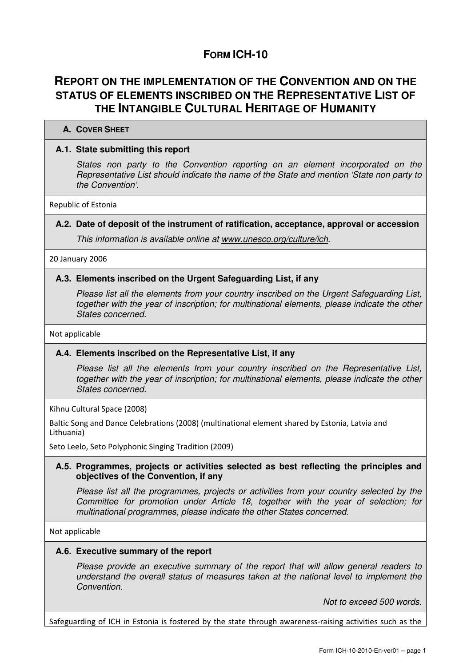## **FORM ICH-10**

## **REPORT ON THE IMPLEMENTATION OF THE CONVENTION AND ON THE STATUS OF ELEMENTS INSCRIBED ON THE REPRESENTATIVE LIST OF THE INTANGIBLE CULTURAL HERITAGE OF HUMANITY**

# **A. COVER SHEET**

## **A.1. State submitting this report**

States non party to the Convention reporting on an element incorporated on the Representative List should indicate the name of the State and mention 'State non party to the Convention'.

Republic of Estonia

## **A.2. Date of deposit of the instrument of ratification, acceptance, approval or accession**

This information is available online at www.unesco.org/culture/ich.

20 January 2006

#### **A.3. Elements inscribed on the Urgent Safeguarding List, if any**

Please list all the elements from your country inscribed on the Urgent Safeguarding List, together with the year of inscription; for multinational elements, please indicate the other States concerned.

Not applicable

## **A.4. Elements inscribed on the Representative List, if any**

Please list all the elements from your country inscribed on the Representative List, together with the year of inscription; for multinational elements, please indicate the other States concerned.

Kihnu Cultural Space (2008)

Baltic Song and Dance Celebrations (2008) (multinational element shared by Estonia, Latvia and Lithuania)

Seto Leelo, Seto Polyphonic Singing Tradition (2009)

## **A.5. Programmes, projects or activities selected as best reflecting the principles and objectives of the Convention, if any**

Please list all the programmes, projects or activities from your country selected by the Committee for promotion under Article 18, together with the year of selection; for multinational programmes, please indicate the other States concerned.

Not applicable

#### **A.6. Executive summary of the report**

Please provide an executive summary of the report that will allow general readers to understand the overall status of measures taken at the national level to implement the Convention.

Not to exceed 500 words.

Safeguarding of ICH in Estonia is fostered by the state through awareness-raising activities such as the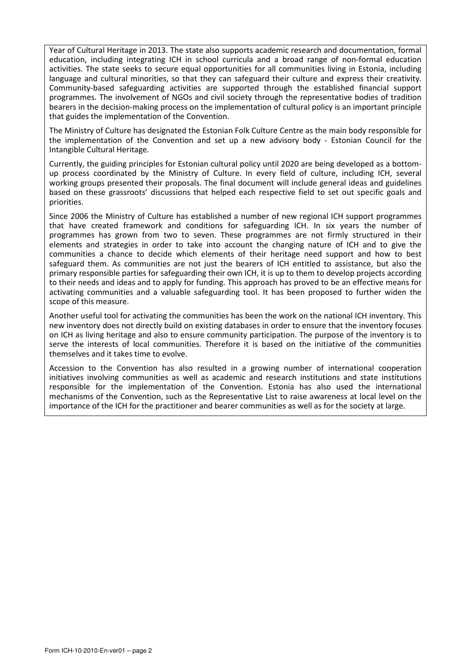Year of Cultural Heritage in 2013. The state also supports academic research and documentation, formal education, including integrating ICH in school curricula and a broad range of non-formal education activities. The state seeks to secure equal opportunities for all communities living in Estonia, including language and cultural minorities, so that they can safeguard their culture and express their creativity. Community-based safeguarding activities are supported through the established financial support programmes. The involvement of NGOs and civil society through the representative bodies of tradition bearers in the decision-making process on the implementation of cultural policy is an important principle that guides the implementation of the Convention.

The Ministry of Culture has designated the Estonian Folk Culture Centre as the main body responsible for the implementation of the Convention and set up a new advisory body - Estonian Council for the Intangible Cultural Heritage.

Currently, the guiding principles for Estonian cultural policy until 2020 are being developed as a bottomup process coordinated by the Ministry of Culture. In every field of culture, including ICH, several working groups presented their proposals. The final document will include general ideas and guidelines based on these grassroots' discussions that helped each respective field to set out specific goals and priorities.

Since 2006 the Ministry of Culture has established a number of new regional ICH support programmes that have created framework and conditions for safeguarding ICH. In six years the number of programmes has grown from two to seven. These programmes are not firmly structured in their elements and strategies in order to take into account the changing nature of ICH and to give the communities a chance to decide which elements of their heritage need support and how to best safeguard them. As communities are not just the bearers of ICH entitled to assistance, but also the primary responsible parties for safeguarding their own ICH, it is up to them to develop projects according to their needs and ideas and to apply for funding. This approach has proved to be an effective means for activating communities and a valuable safeguarding tool. It has been proposed to further widen the scope of this measure.

Another useful tool for activating the communities has been the work on the national ICH inventory. This new inventory does not directly build on existing databases in order to ensure that the inventory focuses on ICH as living heritage and also to ensure community participation. The purpose of the inventory is to serve the interests of local communities. Therefore it is based on the initiative of the communities themselves and it takes time to evolve.

Accession to the Convention has also resulted in a growing number of international cooperation initiatives involving communities as well as academic and research institutions and state institutions responsible for the implementation of the Convention. Estonia has also used the international mechanisms of the Convention, such as the Representative List to raise awareness at local level on the importance of the ICH for the practitioner and bearer communities as well as for the society at large.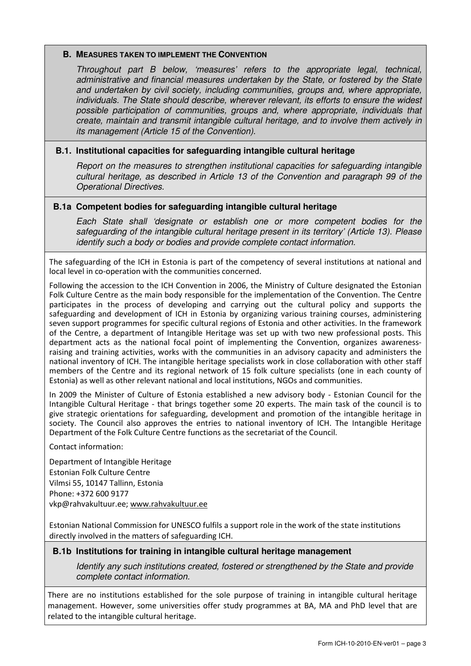#### **B. MEASURES TAKEN TO IMPLEMENT THE CONVENTION**

Throughout part B below, 'measures' refers to the appropriate legal, technical, administrative and financial measures undertaken by the State, or fostered by the State and undertaken by civil society, including communities, groups and, where appropriate, individuals. The State should describe, wherever relevant, its efforts to ensure the widest possible participation of communities, groups and, where appropriate, individuals that create, maintain and transmit intangible cultural heritage, and to involve them actively in its management (Article 15 of the Convention).

## **B.1. Institutional capacities for safeguarding intangible cultural heritage**

Report on the measures to strengthen institutional capacities for safeguarding intangible cultural heritage, as described in Article 13 of the Convention and paragraph 99 of the Operational Directives.

## **B.1a Competent bodies for safeguarding intangible cultural heritage**

Each State shall 'designate or establish one or more competent bodies for the safeguarding of the intangible cultural heritage present in its territory' (Article 13). Please identify such a body or bodies and provide complete contact information.

The safeguarding of the ICH in Estonia is part of the competency of several institutions at national and local level in co-operation with the communities concerned.

Following the accession to the ICH Convention in 2006, the Ministry of Culture designated the Estonian Folk Culture Centre as the main body responsible for the implementation of the Convention. The Centre participates in the process of developing and carrying out the cultural policy and supports the safeguarding and development of ICH in Estonia by organizing various training courses, administering seven support programmes for specific cultural regions of Estonia and other activities. In the framework of the Centre, a department of Intangible Heritage was set up with two new professional posts. This department acts as the national focal point of implementing the Convention, organizes awarenessraising and training activities, works with the communities in an advisory capacity and administers the national inventory of ICH. The intangible heritage specialists work in close collaboration with other staff members of the Centre and its regional network of 15 folk culture specialists (one in each county of Estonia) as well as other relevant national and local institutions, NGOs and communities.

In 2009 the Minister of Culture of Estonia established a new advisory body - Estonian Council for the Intangible Cultural Heritage - that brings together some 20 experts. The main task of the council is to give strategic orientations for safeguarding, development and promotion of the intangible heritage in society. The Council also approves the entries to national inventory of ICH. The Intangible Heritage Department of the Folk Culture Centre functions as the secretariat of the Council.

Contact information:

Department of Intangible Heritage Estonian Folk Culture Centre Vilmsi 55, 10147 Tallinn, Estonia Phone: +372 600 9177 vkp@rahvakultuur.ee; www.rahvakultuur.ee

Estonian National Commission for UNESCO fulfils a support role in the work of the state institutions directly involved in the matters of safeguarding ICH.

## **B.1b Institutions for training in intangible cultural heritage management**

Identify any such institutions created, fostered or strengthened by the State and provide complete contact information.

There are no institutions established for the sole purpose of training in intangible cultural heritage management. However, some universities offer study programmes at BA, MA and PhD level that are related to the intangible cultural heritage.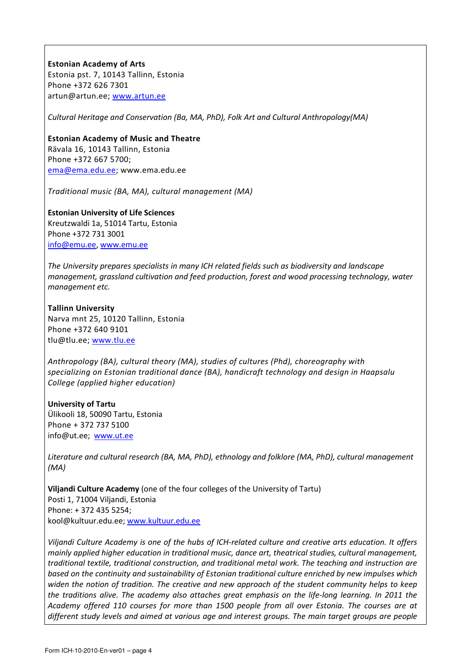#### Estonian Academy of Arts

Estonia pst. 7, 10143 Tallinn, Estonia Phone +372 626 7301 artun@artun.ee; www.artun.ee

Cultural Heritage and Conservation (Ba, MA, PhD), Folk Art and Cultural Anthropology(MA)

Estonian Academy of Music and Theatre Rävala 16, 10143 Tallinn, Estonia Phone +372 667 5700; ema@ema.edu.ee; www.ema.edu.ee

Traditional music (BA, MA), cultural management (MA)

Estonian University of Life Sciences Kreutzwaldi 1a, 51014 Tartu, Estonia Phone +372 731 3001 info@emu.ee, www.emu.ee

The University prepares specialists in many ICH related fields such as biodiversity and landscape management, grassland cultivation and feed production, forest and wood processing technology, water management etc.

Tallinn University Narva mnt 25, 10120 Tallinn, Estonia Phone +372 640 9101 tlu@tlu.ee; www.tlu.ee

Anthropology (BA), cultural theory (MA), studies of cultures (Phd), choreography with specializing on Estonian traditional dance (BA), handicraft technology and design in Haapsalu College (applied higher education)

University of Tartu Ülikooli 18, 50090 Tartu, Estonia Phone + 372 737 5100 info@ut.ee; www.ut.ee

Literature and cultural research (BA, MA, PhD), ethnology and folklore (MA, PhD), cultural management (MA)

Viljandi Culture Academy (one of the four colleges of the University of Tartu) Posti 1, 71004 Viljandi, Estonia Phone: + 372 435 5254; kool@kultuur.edu.ee; www.kultuur.edu.ee

Viljandi Culture Academy is one of the hubs of ICH-related culture and creative arts education. It offers mainly applied higher education in traditional music, dance art, theatrical studies, cultural management, traditional textile, traditional construction, and traditional metal work. The teaching and instruction are based on the continuity and sustainability of Estonian traditional culture enriched by new impulses which widen the notion of tradition. The creative and new approach of the student community helps to keep the traditions alive. The academy also attaches great emphasis on the life-long learning. In 2011 the Academy offered 110 courses for more than 1500 people from all over Estonia. The courses are at different study levels and aimed at various age and interest groups. The main target groups are people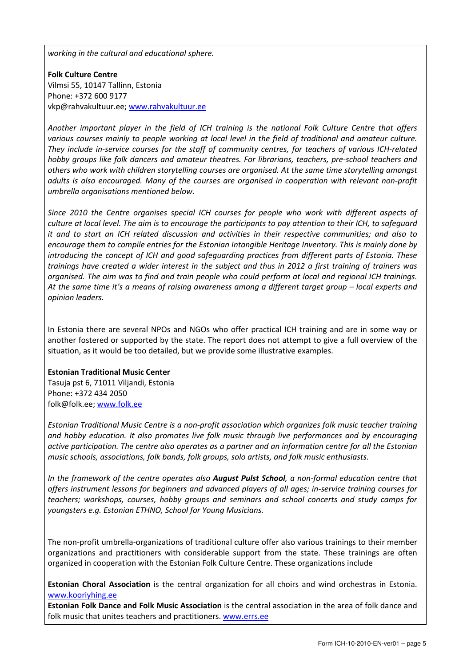working in the cultural and educational sphere.

Folk Culture Centre Vilmsi 55, 10147 Tallinn, Estonia Phone: +372 600 9177 vkp@rahvakultuur.ee; www.rahvakultuur.ee

Another important player in the field of ICH training is the national Folk Culture Centre that offers various courses mainly to people working at local level in the field of traditional and amateur culture. They include in-service courses for the staff of community centres, for teachers of various ICH-related hobby groups like folk dancers and amateur theatres. For librarians, teachers, pre-school teachers and others who work with children storytelling courses are organised. At the same time storytelling amongst adults is also encouraged. Many of the courses are organised in cooperation with relevant non-profit umbrella organisations mentioned below.

Since 2010 the Centre organises special ICH courses for people who work with different aspects of culture at local level. The aim is to encourage the participants to pay attention to their ICH, to safeguard it and to start an ICH related discussion and activities in their respective communities; and also to encourage them to compile entries for the Estonian Intangible Heritage Inventory. This is mainly done by introducing the concept of ICH and good safeguarding practices from different parts of Estonia. These trainings have created a wider interest in the subject and thus in 2012 a first training of trainers was organised. The aim was to find and train people who could perform at local and regional ICH trainings. At the same time it's a means of raising awareness among a different target group – local experts and opinion leaders.

In Estonia there are several NPOs and NGOs who offer practical ICH training and are in some way or another fostered or supported by the state. The report does not attempt to give a full overview of the situation, as it would be too detailed, but we provide some illustrative examples.

#### Estonian Traditional Music Center

Tasuja pst 6, 71011 Viljandi, Estonia Phone: +372 434 2050 folk@folk.ee; www.folk.ee

Estonian Traditional Music Centre is a non-profit association which organizes folk music teacher training and hobby education. It also promotes live folk music through live performances and by encouraging active participation. The centre also operates as a partner and an information centre for all the Estonian music schools, associations, folk bands, folk groups, solo artists, and folk music enthusiasts.

In the framework of the centre operates also August Pulst School, a non-formal education centre that offers instrument lessons for beginners and advanced players of all ages; in-service training courses for teachers; workshops, courses, hobby groups and seminars and school concerts and study camps for youngsters e.g. Estonian ETHNO, School for Young Musicians.

The non-profit umbrella-organizations of traditional culture offer also various trainings to their member organizations and practitioners with considerable support from the state. These trainings are often organized in cooperation with the Estonian Folk Culture Centre. These organizations include

Estonian Choral Association is the central organization for all choirs and wind orchestras in Estonia. www.kooriyhing.ee

Estonian Folk Dance and Folk Music Association is the central association in the area of folk dance and folk music that unites teachers and practitioners. www.errs.ee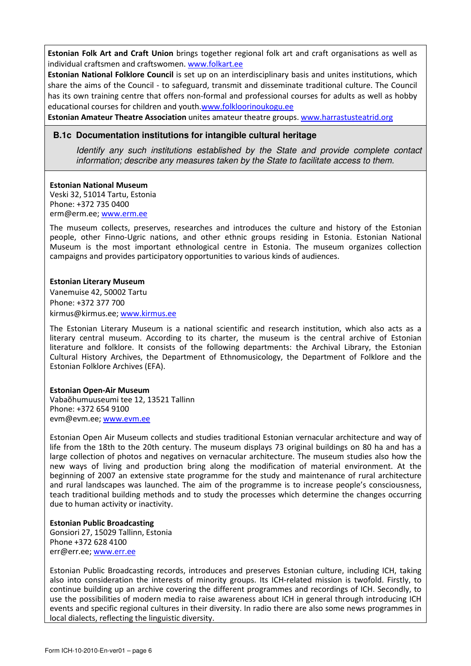Estonian Folk Art and Craft Union brings together regional folk art and craft organisations as well as individual craftsmen and craftswomen. www.folkart.ee

Estonian National Folklore Council is set up on an interdisciplinary basis and unites institutions, which share the aims of the Council - to safeguard, transmit and disseminate traditional culture. The Council has its own training centre that offers non-formal and professional courses for adults as well as hobby educational courses for children and youth.www.folkloorinoukogu.ee

Estonian Amateur Theatre Association unites amateur theatre groups. www.harrastusteatrid.org

#### **B.1c Documentation institutions for intangible cultural heritage**

Identify any such institutions established by the State and provide complete contact information; describe any measures taken by the State to facilitate access to them.

#### Estonian National Museum

Veski 32, 51014 Tartu, Estonia Phone: +372 735 0400 erm@erm.ee; www.erm.ee

The museum collects, preserves, researches and introduces the culture and history of the Estonian people, other Finno-Ugric nations, and other ethnic groups residing in Estonia. Estonian National Museum is the most important ethnological centre in Estonia. The museum organizes collection campaigns and provides participatory opportunities to various kinds of audiences.

#### Estonian Literary Museum

Vanemuise 42, 50002 Tartu Phone: +372 377 700 kirmus@kirmus.ee; www.kirmus.ee

The Estonian Literary Museum is a national scientific and research institution, which also acts as a literary central museum. According to its charter, the museum is the central archive of Estonian literature and folklore. It consists of the following departments: the Archival Library, the Estonian Cultural History Archives, the Department of Ethnomusicology, the Department of Folklore and the Estonian Folklore Archives (EFA).

#### Estonian Open-Air Museum

Vabaõhumuuseumi tee 12, 13521 Tallinn Phone: +372 654 9100 evm@evm.ee; www.evm.ee

Estonian Open Air Museum collects and studies traditional Estonian vernacular architecture and way of life from the 18th to the 20th century. The museum displays 73 original buildings on 80 ha and has a large collection of photos and negatives on vernacular architecture. The museum studies also how the new ways of living and production bring along the modification of material environment. At the beginning of 2007 an extensive state programme for the study and maintenance of rural architecture and rural landscapes was launched. The aim of the programme is to increase people's consciousness, teach traditional building methods and to study the processes which determine the changes occurring due to human activity or inactivity.

#### Estonian Public Broadcasting

Gonsiori 27, 15029 Tallinn, Estonia Phone +372 628 4100 err@err.ee; www.err.ee

Estonian Public Broadcasting records, introduces and preserves Estonian culture, including ICH, taking also into consideration the interests of minority groups. Its ICH-related mission is twofold. Firstly, to continue building up an archive covering the different programmes and recordings of ICH. Secondly, to use the possibilities of modern media to raise awareness about ICH in general through introducing ICH events and specific regional cultures in their diversity. In radio there are also some news programmes in local dialects, reflecting the linguistic diversity.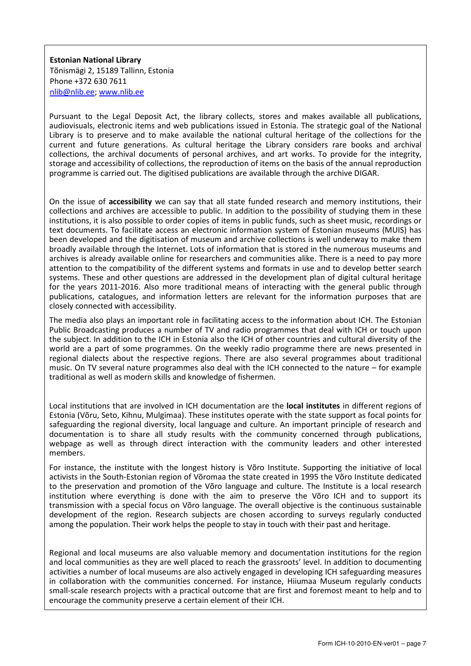Estonian National Library Tõnismägi 2, 15189 Tallinn, Estonia Phone +372 630 7611 nlib@nlib.ee; www.nlib.ee

Pursuant to the Legal Deposit Act, the library collects, stores and makes available all publications, audiovisuals, electronic items and web publications issued in Estonia. The strategic goal of the National Library is to preserve and to make available the national cultural heritage of the collections for the current and future generations. As cultural heritage the Library considers rare books and archival collections, the archival documents of personal archives, and art works. To provide for the integrity, storage and accessibility of collections, the reproduction of items on the basis of the annual reproduction programme is carried out. The digitised publications are available through the archive DIGAR.

On the issue of accessibility we can say that all state funded research and memory institutions, their collections and archives are accessible to public. In addition to the possibility of studying them in these institutions, it is also possible to order copies of items in public funds, such as sheet music, recordings or text documents. To facilitate access an electronic information system of Estonian museums (MUIS) has been developed and the digitisation of museum and archive collections is well underway to make them broadly available through the Internet. Lots of information that is stored in the numerous museums and archives is already available online for researchers and communities alike. There is a need to pay more attention to the compatibility of the different systems and formats in use and to develop better search systems. These and other questions are addressed in the development plan of digital cultural heritage for the years 2011-2016. Also more traditional means of interacting with the general public through publications, catalogues, and information letters are relevant for the information purposes that are closely connected with accessibility.

The media also plays an important role in facilitating access to the information about ICH. The Estonian Public Broadcasting produces a number of TV and radio programmes that deal with ICH or touch upon the subject. In addition to the ICH in Estonia also the ICH of other countries and cultural diversity of the world are a part of some programmes. On the weekly radio programme there are news presented in regional dialects about the respective regions. There are also several programmes about traditional music. On TV several nature programmes also deal with the ICH connected to the nature – for example traditional as well as modern skills and knowledge of fishermen.

Local institutions that are involved in ICH documentation are the local institutes in different regions of Estonia (Võru, Seto, Kihnu, Mulgimaa). These institutes operate with the state support as focal points for safeguarding the regional diversity, local language and culture. An important principle of research and documentation is to share all study results with the community concerned through publications, webpage as well as through direct interaction with the community leaders and other interested members.

For instance, the institute with the longest history is Võro Institute. Supporting the initiative of local activists in the South-Estonian region of Võromaa the state created in 1995 the Võro Institute dedicated to the preservation and promotion of the Võro language and culture. The Institute is a local research institution where everything is done with the aim to preserve the Võro ICH and to support its transmission with a special focus on Võro language. The overall objective is the continuous sustainable development of the region. Research subjects are chosen according to surveys regularly conducted among the population. Their work helps the people to stay in touch with their past and heritage.

Regional and local museums are also valuable memory and documentation institutions for the region and local communities as they are well placed to reach the grassroots' level. In addition to documenting activities a number of local museums are also actively engaged in developing ICH safeguarding measures in collaboration with the communities concerned. For instance, Hiiumaa Museum regularly conducts small-scale research projects with a practical outcome that are first and foremost meant to help and to encourage the community preserve a certain element of their ICH.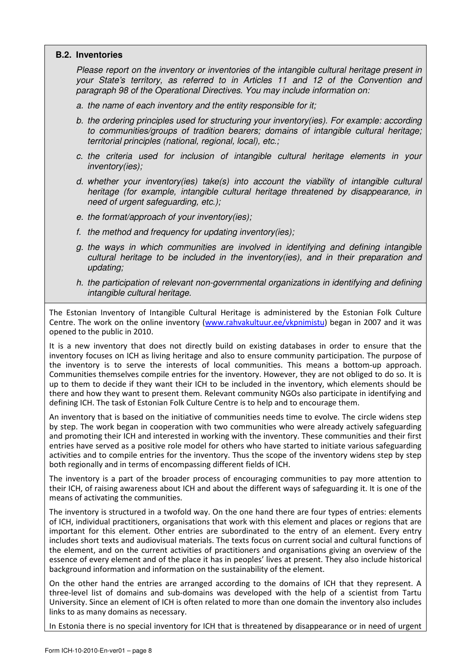#### **B.2. Inventories**

Please report on the inventory or inventories of the intangible cultural heritage present in your State's territory, as referred to in Articles 11 and 12 of the Convention and paragraph 98 of the Operational Directives. You may include information on:

- a. the name of each inventory and the entity responsible for it;
- b. the ordering principles used for structuring your inventory(ies). For example: according to communities/groups of tradition bearers; domains of intangible cultural heritage; territorial principles (national, regional, local), etc.;
- c. the criteria used for inclusion of intangible cultural heritage elements in your inventory(ies);
- d. whether your inventory(ies) take(s) into account the viability of intangible cultural heritage (for example, intangible cultural heritage threatened by disappearance, in need of urgent safeguarding, etc.);
- e. the format/approach of your inventory(ies);
- f. the method and frequency for updating inventory(ies);
- g. the ways in which communities are involved in identifying and defining intangible cultural heritage to be included in the inventory(ies), and in their preparation and updating;
- h. the participation of relevant non-governmental organizations in identifying and defining intangible cultural heritage.

The Estonian Inventory of Intangible Cultural Heritage is administered by the Estonian Folk Culture Centre. The work on the online inventory (www.rahvakultuur.ee/vkpnimistu) began in 2007 and it was opened to the public in 2010.

It is a new inventory that does not directly build on existing databases in order to ensure that the inventory focuses on ICH as living heritage and also to ensure community participation. The purpose of the inventory is to serve the interests of local communities. This means a bottom-up approach. Communities themselves compile entries for the inventory. However, they are not obliged to do so. It is up to them to decide if they want their ICH to be included in the inventory, which elements should be there and how they want to present them. Relevant community NGOs also participate in identifying and defining ICH. The task of Estonian Folk Culture Centre is to help and to encourage them.

An inventory that is based on the initiative of communities needs time to evolve. The circle widens step by step. The work began in cooperation with two communities who were already actively safeguarding and promoting their ICH and interested in working with the inventory. These communities and their first entries have served as a positive role model for others who have started to initiate various safeguarding activities and to compile entries for the inventory. Thus the scope of the inventory widens step by step both regionally and in terms of encompassing different fields of ICH.

The inventory is a part of the broader process of encouraging communities to pay more attention to their ICH, of raising awareness about ICH and about the different ways of safeguarding it. It is one of the means of activating the communities.

The inventory is structured in a twofold way. On the one hand there are four types of entries: elements of ICH, individual practitioners, organisations that work with this element and places or regions that are important for this element. Other entries are subordinated to the entry of an element. Every entry includes short texts and audiovisual materials. The texts focus on current social and cultural functions of the element, and on the current activities of practitioners and organisations giving an overview of the essence of every element and of the place it has in peoples' lives at present. They also include historical background information and information on the sustainability of the element.

On the other hand the entries are arranged according to the domains of ICH that they represent. A three-level list of domains and sub-domains was developed with the help of a scientist from Tartu University. Since an element of ICH is often related to more than one domain the inventory also includes links to as many domains as necessary.

In Estonia there is no special inventory for ICH that is threatened by disappearance or in need of urgent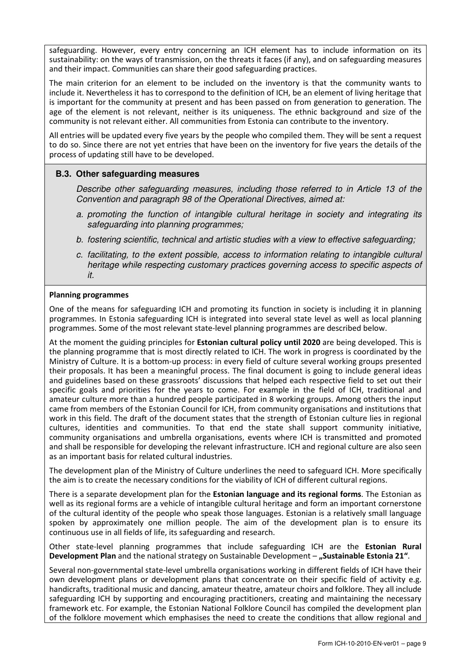safeguarding. However, every entry concerning an ICH element has to include information on its sustainability: on the ways of transmission, on the threats it faces (if any), and on safeguarding measures and their impact. Communities can share their good safeguarding practices.

The main criterion for an element to be included on the inventory is that the community wants to include it. Nevertheless it has to correspond to the definition of ICH, be an element of living heritage that is important for the community at present and has been passed on from generation to generation. The age of the element is not relevant, neither is its uniqueness. The ethnic background and size of the community is not relevant either. All communities from Estonia can contribute to the inventory.

All entries will be updated every five years by the people who compiled them. They will be sent a request to do so. Since there are not yet entries that have been on the inventory for five years the details of the process of updating still have to be developed.

## **B.3. Other safeguarding measures**

Describe other safeguarding measures, including those referred to in Article 13 of the Convention and paragraph 98 of the Operational Directives, aimed at:

- a. promoting the function of intangible cultural heritage in society and integrating its safeguarding into planning programmes;
- b. fostering scientific, technical and artistic studies with a view to effective safeguarding;
- c. facilitating, to the extent possible, access to information relating to intangible cultural heritage while respecting customary practices governing access to specific aspects of it.

#### Planning programmes

One of the means for safeguarding ICH and promoting its function in society is including it in planning programmes. In Estonia safeguarding ICH is integrated into several state level as well as local planning programmes. Some of the most relevant state-level planning programmes are described below.

At the moment the guiding principles for **Estonian cultural policy until 2020** are being developed. This is the planning programme that is most directly related to ICH. The work in progress is coordinated by the Ministry of Culture. It is a bottom-up process: in every field of culture several working groups presented their proposals. It has been a meaningful process. The final document is going to include general ideas and guidelines based on these grassroots' discussions that helped each respective field to set out their specific goals and priorities for the years to come. For example in the field of ICH, traditional and amateur culture more than a hundred people participated in 8 working groups. Among others the input came from members of the Estonian Council for ICH, from community organisations and institutions that work in this field. The draft of the document states that the strength of Estonian culture lies in regional cultures, identities and communities. To that end the state shall support community initiative, community organisations and umbrella organisations, events where ICH is transmitted and promoted and shall be responsible for developing the relevant infrastructure. ICH and regional culture are also seen as an important basis for related cultural industries.

The development plan of the Ministry of Culture underlines the need to safeguard ICH. More specifically the aim is to create the necessary conditions for the viability of ICH of different cultural regions.

There is a separate development plan for the **Estonian language and its regional forms**. The Estonian as well as its regional forms are a vehicle of intangible cultural heritage and form an important cornerstone of the cultural identity of the people who speak those languages. Estonian is a relatively small language spoken by approximately one million people. The aim of the development plan is to ensure its continuous use in all fields of life, its safeguarding and research.

Other state-level planning programmes that include safeguarding ICH are the Estonian Rural Development Plan and the national strategy on Sustainable Development – "Sustainable Estonia 21".

Several non-governmental state-level umbrella organisations working in different fields of ICH have their own development plans or development plans that concentrate on their specific field of activity e.g. handicrafts, traditional music and dancing, amateur theatre, amateur choirs and folklore. They all include safeguarding ICH by supporting and encouraging practitioners, creating and maintaining the necessary framework etc. For example, the Estonian National Folklore Council has compiled the development plan of the folklore movement which emphasises the need to create the conditions that allow regional and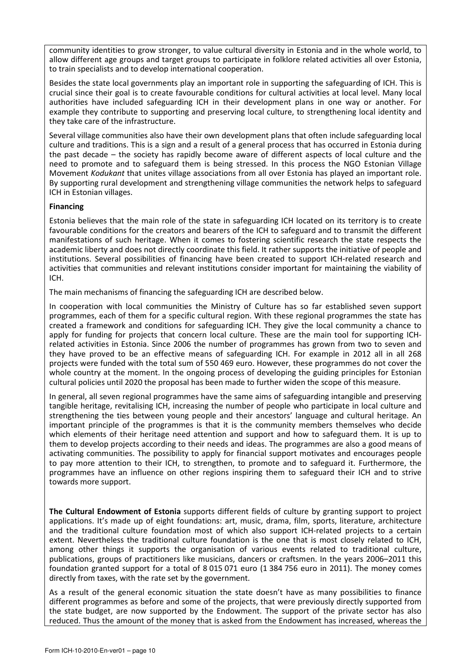community identities to grow stronger, to value cultural diversity in Estonia and in the whole world, to allow different age groups and target groups to participate in folklore related activities all over Estonia, to train specialists and to develop international cooperation.

Besides the state local governments play an important role in supporting the safeguarding of ICH. This is crucial since their goal is to create favourable conditions for cultural activities at local level. Many local authorities have included safeguarding ICH in their development plans in one way or another. For example they contribute to supporting and preserving local culture, to strengthening local identity and they take care of the infrastructure.

Several village communities also have their own development plans that often include safeguarding local culture and traditions. This is a sign and a result of a general process that has occurred in Estonia during the past decade – the society has rapidly become aware of different aspects of local culture and the need to promote and to safeguard them is being stressed. In this process the NGO Estonian Village Movement Kodukant that unites village associations from all over Estonia has played an important role. By supporting rural development and strengthening village communities the network helps to safeguard ICH in Estonian villages.

#### Financing

Estonia believes that the main role of the state in safeguarding ICH located on its territory is to create favourable conditions for the creators and bearers of the ICH to safeguard and to transmit the different manifestations of such heritage. When it comes to fostering scientific research the state respects the academic liberty and does not directly coordinate this field. It rather supports the initiative of people and institutions. Several possibilities of financing have been created to support ICH-related research and activities that communities and relevant institutions consider important for maintaining the viability of ICH.

The main mechanisms of financing the safeguarding ICH are described below.

In cooperation with local communities the Ministry of Culture has so far established seven support programmes, each of them for a specific cultural region. With these regional programmes the state has created a framework and conditions for safeguarding ICH. They give the local community a chance to apply for funding for projects that concern local culture. These are the main tool for supporting ICHrelated activities in Estonia. Since 2006 the number of programmes has grown from two to seven and they have proved to be an effective means of safeguarding ICH. For example in 2012 all in all 268 projects were funded with the total sum of 550 469 euro. However, these programmes do not cover the whole country at the moment. In the ongoing process of developing the guiding principles for Estonian cultural policies until 2020 the proposal has been made to further widen the scope of this measure.

In general, all seven regional programmes have the same aims of safeguarding intangible and preserving tangible heritage, revitalising ICH, increasing the number of people who participate in local culture and strengthening the ties between young people and their ancestors' language and cultural heritage. An important principle of the programmes is that it is the community members themselves who decide which elements of their heritage need attention and support and how to safeguard them. It is up to them to develop projects according to their needs and ideas. The programmes are also a good means of activating communities. The possibility to apply for financial support motivates and encourages people to pay more attention to their ICH, to strengthen, to promote and to safeguard it. Furthermore, the programmes have an influence on other regions inspiring them to safeguard their ICH and to strive towards more support.

The Cultural Endowment of Estonia supports different fields of culture by granting support to project applications. It's made up of eight foundations: art, music, drama, film, sports, literature, architecture and the traditional culture foundation most of which also support ICH-related projects to a certain extent. Nevertheless the traditional culture foundation is the one that is most closely related to ICH, among other things it supports the organisation of various events related to traditional culture, publications, groups of practitioners like musicians, dancers or craftsmen. In the years 2006–2011 this foundation granted support for a total of 8 015 071 euro (1 384 756 euro in 2011). The money comes directly from taxes, with the rate set by the government.

As a result of the general economic situation the state doesn't have as many possibilities to finance different programmes as before and some of the projects, that were previously directly supported from the state budget, are now supported by the Endowment. The support of the private sector has also reduced. Thus the amount of the money that is asked from the Endowment has increased, whereas the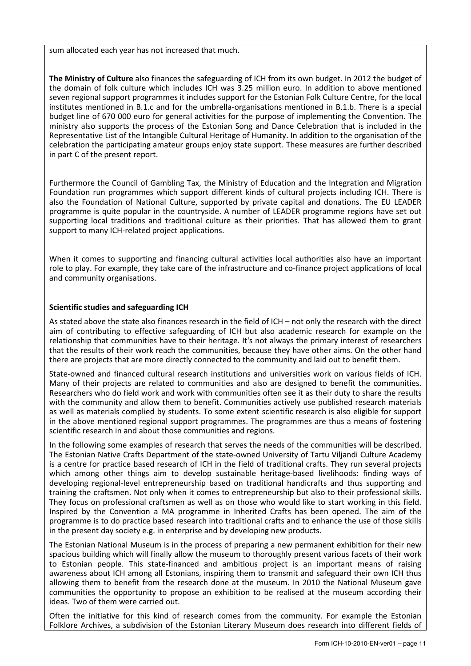sum allocated each year has not increased that much.

The Ministry of Culture also finances the safeguarding of ICH from its own budget. In 2012 the budget of the domain of folk culture which includes ICH was 3.25 million euro. In addition to above mentioned seven regional support programmes it includes support for the Estonian Folk Culture Centre, for the local institutes mentioned in B.1.c and for the umbrella-organisations mentioned in B.1.b. There is a special budget line of 670 000 euro for general activities for the purpose of implementing the Convention. The ministry also supports the process of the Estonian Song and Dance Celebration that is included in the Representative List of the Intangible Cultural Heritage of Humanity. In addition to the organisation of the celebration the participating amateur groups enjoy state support. These measures are further described in part C of the present report.

Furthermore the Council of Gambling Tax, the Ministry of Education and the Integration and Migration Foundation run programmes which support different kinds of cultural projects including ICH. There is also the Foundation of National Culture, supported by private capital and donations. The EU LEADER programme is quite popular in the countryside. A number of LEADER programme regions have set out supporting local traditions and traditional culture as their priorities. That has allowed them to grant support to many ICH-related project applications.

When it comes to supporting and financing cultural activities local authorities also have an important role to play. For example, they take care of the infrastructure and co-finance project applications of local and community organisations.

#### Scientific studies and safeguarding ICH

As stated above the state also finances research in the field of ICH – not only the research with the direct aim of contributing to effective safeguarding of ICH but also academic research for example on the relationship that communities have to their heritage. It's not always the primary interest of researchers that the results of their work reach the communities, because they have other aims. On the other hand there are projects that are more directly connected to the community and laid out to benefit them.

State-owned and financed cultural research institutions and universities work on various fields of ICH. Many of their projects are related to communities and also are designed to benefit the communities. Researchers who do field work and work with communities often see it as their duty to share the results with the community and allow them to benefit. Communities actively use published research materials as well as materials complied by students. To some extent scientific research is also eligible for support in the above mentioned regional support programmes. The programmes are thus a means of fostering scientific research in and about those communities and regions.

In the following some examples of research that serves the needs of the communities will be described. The Estonian Native Crafts Department of the state-owned University of Tartu Viljandi Culture Academy is a centre for practice based research of ICH in the field of traditional crafts. They run several projects which among other things aim to develop sustainable heritage-based livelihoods: finding ways of developing regional-level entrepreneurship based on traditional handicrafts and thus supporting and training the craftsmen. Not only when it comes to entrepreneurship but also to their professional skills. They focus on professional craftsmen as well as on those who would like to start working in this field. Inspired by the Convention a MA programme in Inherited Crafts has been opened. The aim of the programme is to do practice based research into traditional crafts and to enhance the use of those skills in the present day society e.g. in enterprise and by developing new products.

The Estonian National Museum is in the process of preparing a new permanent exhibition for their new spacious building which will finally allow the museum to thoroughly present various facets of their work to Estonian people. This state-financed and ambitious project is an important means of raising awareness about ICH among all Estonians, inspiring them to transmit and safeguard their own ICH thus allowing them to benefit from the research done at the museum. In 2010 the National Museum gave communities the opportunity to propose an exhibition to be realised at the museum according their ideas. Two of them were carried out.

Often the initiative for this kind of research comes from the community. For example the Estonian Folklore Archives, a subdivision of the Estonian Literary Museum does research into different fields of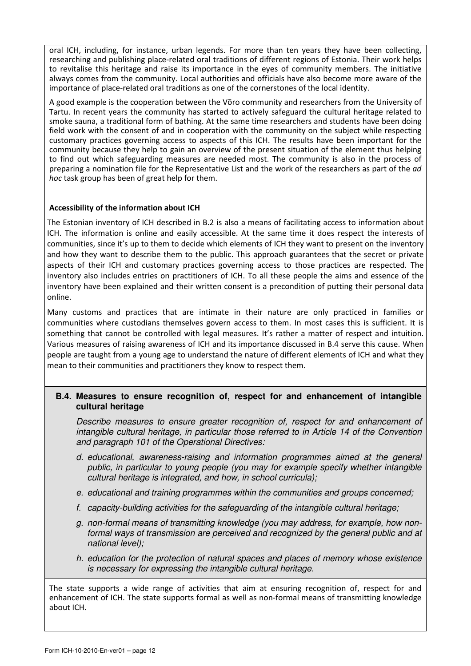oral ICH, including, for instance, urban legends. For more than ten years they have been collecting, researching and publishing place-related oral traditions of different regions of Estonia. Their work helps to revitalise this heritage and raise its importance in the eyes of community members. The initiative always comes from the community. Local authorities and officials have also become more aware of the importance of place-related oral traditions as one of the cornerstones of the local identity.

A good example is the cooperation between the Võro community and researchers from the University of Tartu. In recent years the community has started to actively safeguard the cultural heritage related to smoke sauna, a traditional form of bathing. At the same time researchers and students have been doing field work with the consent of and in cooperation with the community on the subject while respecting customary practices governing access to aspects of this ICH. The results have been important for the community because they help to gain an overview of the present situation of the element thus helping to find out which safeguarding measures are needed most. The community is also in the process of preparing a nomination file for the Representative List and the work of the researchers as part of the ad hoc task group has been of great help for them.

#### Accessibility of the information about ICH

The Estonian inventory of ICH described in B.2 is also a means of facilitating access to information about ICH. The information is online and easily accessible. At the same time it does respect the interests of communities, since it's up to them to decide which elements of ICH they want to present on the inventory and how they want to describe them to the public. This approach guarantees that the secret or private aspects of their ICH and customary practices governing access to those practices are respected. The inventory also includes entries on practitioners of ICH. To all these people the aims and essence of the inventory have been explained and their written consent is a precondition of putting their personal data online.

Many customs and practices that are intimate in their nature are only practiced in families or communities where custodians themselves govern access to them. In most cases this is sufficient. It is something that cannot be controlled with legal measures. It's rather a matter of respect and intuition. Various measures of raising awareness of ICH and its importance discussed in B.4 serve this cause. When people are taught from a young age to understand the nature of different elements of ICH and what they mean to their communities and practitioners they know to respect them.

## **B.4. Measures to ensure recognition of, respect for and enhancement of intangible cultural heritage**

Describe measures to ensure greater recognition of, respect for and enhancement of intangible cultural heritage, in particular those referred to in Article 14 of the Convention and paragraph 101 of the Operational Directives:

- d. educational, awareness-raising and information programmes aimed at the general public, in particular to young people (you may for example specify whether intangible cultural heritage is integrated, and how, in school curricula);
- e. educational and training programmes within the communities and groups concerned;
- f. capacity-building activities for the safeguarding of the intangible cultural heritage;
- g. non-formal means of transmitting knowledge (you may address, for example, how nonformal ways of transmission are perceived and recognized by the general public and at national level);
- h. education for the protection of natural spaces and places of memory whose existence is necessary for expressing the intangible cultural heritage.

The state supports a wide range of activities that aim at ensuring recognition of, respect for and enhancement of ICH. The state supports formal as well as non-formal means of transmitting knowledge about ICH.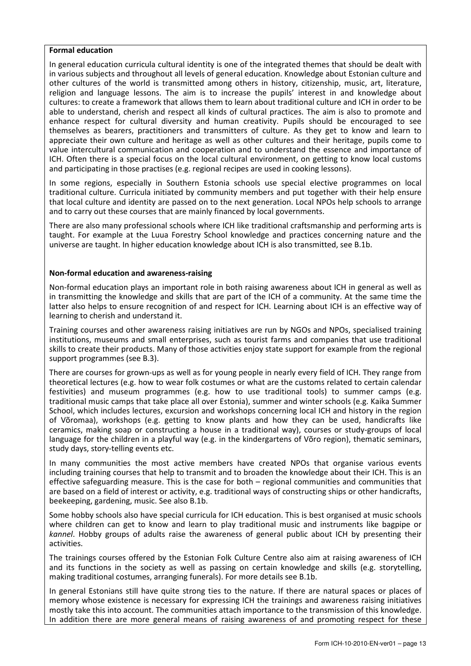#### Formal education

In general education curricula cultural identity is one of the integrated themes that should be dealt with in various subjects and throughout all levels of general education. Knowledge about Estonian culture and other cultures of the world is transmitted among others in history, citizenship, music, art, literature, religion and language lessons. The aim is to increase the pupils' interest in and knowledge about cultures: to create a framework that allows them to learn about traditional culture and ICH in order to be able to understand, cherish and respect all kinds of cultural practices. The aim is also to promote and enhance respect for cultural diversity and human creativity. Pupils should be encouraged to see themselves as bearers, practitioners and transmitters of culture. As they get to know and learn to appreciate their own culture and heritage as well as other cultures and their heritage, pupils come to value intercultural communication and cooperation and to understand the essence and importance of ICH. Often there is a special focus on the local cultural environment, on getting to know local customs and participating in those practises (e.g. regional recipes are used in cooking lessons).

In some regions, especially in Southern Estonia schools use special elective programmes on local traditional culture. Curricula initiated by community members and put together with their help ensure that local culture and identity are passed on to the next generation. Local NPOs help schools to arrange and to carry out these courses that are mainly financed by local governments.

There are also many professional schools where ICH like traditional craftsmanship and performing arts is taught. For example at the Luua Forestry School knowledge and practices concerning nature and the universe are taught. In higher education knowledge about ICH is also transmitted, see B.1b.

#### Non-formal education and awareness-raising

Non-formal education plays an important role in both raising awareness about ICH in general as well as in transmitting the knowledge and skills that are part of the ICH of a community. At the same time the latter also helps to ensure recognition of and respect for ICH. Learning about ICH is an effective way of learning to cherish and understand it.

Training courses and other awareness raising initiatives are run by NGOs and NPOs, specialised training institutions, museums and small enterprises, such as tourist farms and companies that use traditional skills to create their products. Many of those activities enjoy state support for example from the regional support programmes (see B.3).

There are courses for grown-ups as well as for young people in nearly every field of ICH. They range from theoretical lectures (e.g. how to wear folk costumes or what are the customs related to certain calendar festivities) and museum programmes (e.g. how to use traditional tools) to summer camps (e.g. traditional music camps that take place all over Estonia), summer and winter schools (e.g. Kaika Summer School, which includes lectures, excursion and workshops concerning local ICH and history in the region of Võromaa), workshops (e.g. getting to know plants and how they can be used, handicrafts like ceramics, making soap or constructing a house in a traditional way), courses or study-groups of local language for the children in a playful way (e.g. in the kindergartens of Võro region), thematic seminars, study days, story-telling events etc.

In many communities the most active members have created NPOs that organise various events including training courses that help to transmit and to broaden the knowledge about their ICH. This is an effective safeguarding measure. This is the case for both – regional communities and communities that are based on a field of interest or activity, e.g. traditional ways of constructing ships or other handicrafts, beekeeping, gardening, music. See also B.1b.

Some hobby schools also have special curricula for ICH education. This is best organised at music schools where children can get to know and learn to play traditional music and instruments like bagpipe or kannel. Hobby groups of adults raise the awareness of general public about ICH by presenting their activities.

The trainings courses offered by the Estonian Folk Culture Centre also aim at raising awareness of ICH and its functions in the society as well as passing on certain knowledge and skills (e.g. storytelling, making traditional costumes, arranging funerals). For more details see B.1b.

In general Estonians still have quite strong ties to the nature. If there are natural spaces or places of memory whose existence is necessary for expressing ICH the trainings and awareness raising initiatives mostly take this into account. The communities attach importance to the transmission of this knowledge. In addition there are more general means of raising awareness of and promoting respect for these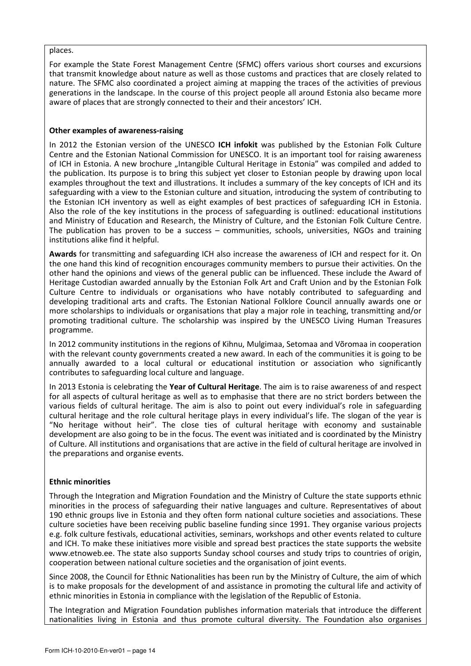#### places.

For example the State Forest Management Centre (SFMC) offers various short courses and excursions that transmit knowledge about nature as well as those customs and practices that are closely related to nature. The SFMC also coordinated a project aiming at mapping the traces of the activities of previous generations in the landscape. In the course of this project people all around Estonia also became more aware of places that are strongly connected to their and their ancestors' ICH.

#### Other examples of awareness-raising

In 2012 the Estonian version of the UNESCO ICH infokit was published by the Estonian Folk Culture Centre and the Estonian National Commission for UNESCO. It is an important tool for raising awareness of ICH in Estonia. A new brochure "Intangible Cultural Heritage in Estonia" was compiled and added to the publication. Its purpose is to bring this subject yet closer to Estonian people by drawing upon local examples throughout the text and illustrations. It includes a summary of the key concepts of ICH and its safeguarding with a view to the Estonian culture and situation, introducing the system of contributing to the Estonian ICH inventory as well as eight examples of best practices of safeguarding ICH in Estonia. Also the role of the key institutions in the process of safeguarding is outlined: educational institutions and Ministry of Education and Research, the Ministry of Culture, and the Estonian Folk Culture Centre. The publication has proven to be a success – communities, schools, universities, NGOs and training institutions alike find it helpful.

Awards for transmitting and safeguarding ICH also increase the awareness of ICH and respect for it. On the one hand this kind of recognition encourages community members to pursue their activities. On the other hand the opinions and views of the general public can be influenced. These include the Award of Heritage Custodian awarded annually by the Estonian Folk Art and Craft Union and by the Estonian Folk Culture Centre to individuals or organisations who have notably contributed to safeguarding and developing traditional arts and crafts. The Estonian National Folklore Council annually awards one or more scholarships to individuals or organisations that play a major role in teaching, transmitting and/or promoting traditional culture. The scholarship was inspired by the UNESCO Living Human Treasures programme.

In 2012 community institutions in the regions of Kihnu, Mulgimaa, Setomaa and Võromaa in cooperation with the relevant county governments created a new award. In each of the communities it is going to be annually awarded to a local cultural or educational institution or association who significantly contributes to safeguarding local culture and language.

In 2013 Estonia is celebrating the Year of Cultural Heritage. The aim is to raise awareness of and respect for all aspects of cultural heritage as well as to emphasise that there are no strict borders between the various fields of cultural heritage. The aim is also to point out every individual's role in safeguarding cultural heritage and the role cultural heritage plays in every individual's life. The slogan of the year is "No heritage without heir". The close ties of cultural heritage with economy and sustainable development are also going to be in the focus. The event was initiated and is coordinated by the Ministry of Culture. All institutions and organisations that are active in the field of cultural heritage are involved in the preparations and organise events.

#### Ethnic minorities

Through the Integration and Migration Foundation and the Ministry of Culture the state supports ethnic minorities in the process of safeguarding their native languages and culture. Representatives of about 190 ethnic groups live in Estonia and they often form national culture societies and associations. These culture societies have been receiving public baseline funding since 1991. They organise various projects e.g. folk culture festivals, educational activities, seminars, workshops and other events related to culture and ICH. To make these initiatives more visible and spread best practices the state supports the website www.etnoweb.ee. The state also supports Sunday school courses and study trips to countries of origin, cooperation between national culture societies and the organisation of joint events.

Since 2008, the Council for Ethnic Nationalities has been run by the Ministry of Culture, the aim of which is to make proposals for the development of and assistance in promoting the cultural life and activity of ethnic minorities in Estonia in compliance with the legislation of the Republic of Estonia.

The Integration and Migration Foundation publishes information materials that introduce the different nationalities living in Estonia and thus promote cultural diversity. The Foundation also organises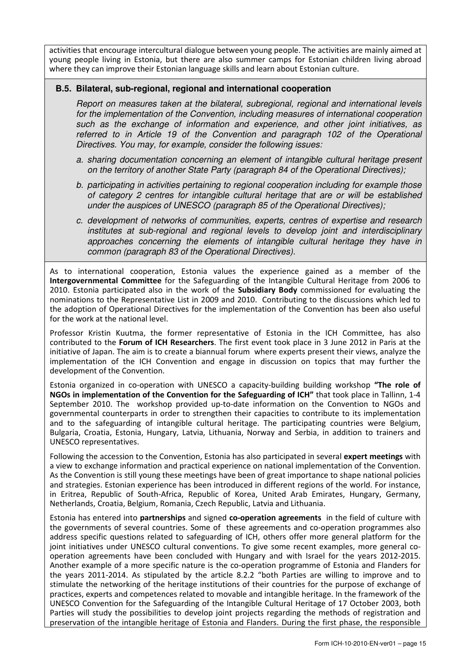activities that encourage intercultural dialogue between young people. The activities are mainly aimed at young people living in Estonia, but there are also summer camps for Estonian children living abroad where they can improve their Estonian language skills and learn about Estonian culture.

## **B.5. Bilateral, sub-regional, regional and international cooperation**

Report on measures taken at the bilateral, subregional, regional and international levels for the implementation of the Convention, including measures of international cooperation such as the exchange of information and experience, and other joint initiatives, as referred to in Article 19 of the Convention and paragraph 102 of the Operational Directives. You may, for example, consider the following issues:

- a. sharing documentation concerning an element of intangible cultural heritage present on the territory of another State Party (paragraph 84 of the Operational Directives);
- b. participating in activities pertaining to regional cooperation including for example those of category 2 centres for intangible cultural heritage that are or will be established under the auspices of UNESCO (paragraph 85 of the Operational Directives);
- c. development of networks of communities, experts, centres of expertise and research institutes at sub-regional and regional levels to develop joint and interdisciplinary approaches concerning the elements of intangible cultural heritage they have in common (paragraph 83 of the Operational Directives).

As to international cooperation, Estonia values the experience gained as a member of the Intergovernmental Committee for the Safeguarding of the Intangible Cultural Heritage from 2006 to 2010. Estonia participated also in the work of the Subsidiary Body commissioned for evaluating the nominations to the Representative List in 2009 and 2010. Contributing to the discussions which led to the adoption of Operational Directives for the implementation of the Convention has been also useful for the work at the national level.

Professor Kristin Kuutma, the former representative of Estonia in the ICH Committee, has also contributed to the Forum of ICH Researchers. The first event took place in 3 June 2012 in Paris at the initiative of Japan. The aim is to create a biannual forum where experts present their views, analyze the implementation of the ICH Convention and engage in discussion on topics that may further the development of the Convention.

Estonia organized in co-operation with UNESCO a capacity-building building workshop "The role of NGOs in implementation of the Convention for the Safeguarding of ICH" that took place in Tallinn, 1-4 September 2010. The workshop provided up-to-date information on the Convention to NGOs and governmental counterparts in order to strengthen their capacities to contribute to its implementation and to the safeguarding of intangible cultural heritage. The participating countries were Belgium, Bulgaria, Croatia, Estonia, Hungary, Latvia, Lithuania, Norway and Serbia, in addition to trainers and UNESCO representatives.

Following the accession to the Convention, Estonia has also participated in several expert meetings with a view to exchange information and practical experience on national implementation of the Convention. As the Convention is still young these meetings have been of great importance to shape national policies and strategies. Estonian experience has been introduced in different regions of the world. For instance, in Eritrea, Republic of South-Africa, Republic of Korea, United Arab Emirates, Hungary, Germany, Netherlands, Croatia, Belgium, Romania, Czech Republic, Latvia and Lithuania.

Estonia has entered into partnerships and signed co-operation agreements in the field of culture with the governments of several countries. Some of these agreements and co-operation programmes also address specific questions related to safeguarding of ICH, others offer more general platform for the joint initiatives under UNESCO cultural conventions. To give some recent examples, more general cooperation agreements have been concluded with Hungary and with Israel for the years 2012-2015. Another example of a more specific nature is the co-operation programme of Estonia and Flanders for the years 2011-2014. As stipulated by the article 8.2.2 "both Parties are willing to improve and to stimulate the networking of the heritage institutions of their countries for the purpose of exchange of practices, experts and competences related to movable and intangible heritage. In the framework of the UNESCO Convention for the Safeguarding of the Intangible Cultural Heritage of 17 October 2003, both Parties will study the possibilities to develop joint projects regarding the methods of registration and preservation of the intangible heritage of Estonia and Flanders. During the first phase, the responsible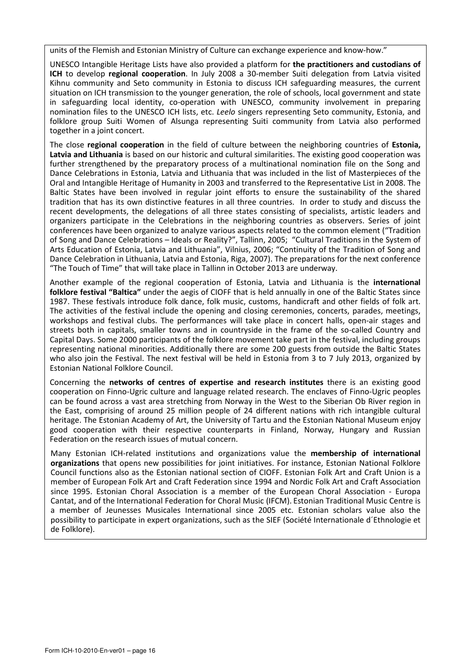units of the Flemish and Estonian Ministry of Culture can exchange experience and know-how."

UNESCO Intangible Heritage Lists have also provided a platform for the practitioners and custodians of ICH to develop regional cooperation. In July 2008 a 30-member Suiti delegation from Latvia visited Kihnu community and Seto community in Estonia to discuss ICH safeguarding measures, the current situation on ICH transmission to the younger generation, the role of schools, local government and state in safeguarding local identity, co-operation with UNESCO, community involvement in preparing nomination files to the UNESCO ICH lists, etc. Leelo singers representing Seto community, Estonia, and folklore group Suiti Women of Alsunga representing Suiti community from Latvia also performed together in a joint concert.

The close regional cooperation in the field of culture between the neighboring countries of Estonia, Latvia and Lithuania is based on our historic and cultural similarities. The existing good cooperation was further strengthened by the preparatory process of a multinational nomination file on the Song and Dance Celebrations in Estonia, Latvia and Lithuania that was included in the list of Masterpieces of the Oral and Intangible Heritage of Humanity in 2003 and transferred to the Representative List in 2008. The Baltic States have been involved in regular joint efforts to ensure the sustainability of the shared tradition that has its own distinctive features in all three countries. In order to study and discuss the recent developments, the delegations of all three states consisting of specialists, artistic leaders and organizers participate in the Celebrations in the neighboring countries as observers. Series of joint conferences have been organized to analyze various aspects related to the common element ("Tradition of Song and Dance Celebrations – Ideals or Reality?", Tallinn, 2005; "Cultural Traditions in the System of Arts Education of Estonia, Latvia and Lithuania", Vilnius, 2006; "Continuity of the Tradition of Song and Dance Celebration in Lithuania, Latvia and Estonia, Riga, 2007). The preparations for the next conference "The Touch of Time" that will take place in Tallinn in October 2013 are underway.

Another example of the regional cooperation of Estonia, Latvia and Lithuania is the international folklore festival "Baltica" under the aegis of CIOFF that is held annually in one of the Baltic States since 1987. These festivals introduce folk dance, folk music, customs, handicraft and other fields of folk art. The activities of the festival include the opening and closing ceremonies, concerts, parades, meetings, workshops and festival clubs. The performances will take place in concert halls, open-air stages and streets both in capitals, smaller towns and in countryside in the frame of the so-called Country and Capital Days. Some 2000 participants of the folklore movement take part in the festival, including groups representing national minorities. Additionally there are some 200 guests from outside the Baltic States who also join the Festival. The next festival will be held in Estonia from 3 to 7 July 2013, organized by Estonian National Folklore Council.

Concerning the networks of centres of expertise and research institutes there is an existing good cooperation on Finno-Ugric culture and language related research. The enclaves of Finno-Ugric peoples can be found across a vast area stretching from Norway in the West to the Siberian Ob River region in the East, comprising of around 25 million people of 24 different nations with rich intangible cultural heritage. The Estonian Academy of Art, the University of Tartu and the Estonian National Museum enjoy good cooperation with their respective counterparts in Finland, Norway, Hungary and Russian Federation on the research issues of mutual concern.

Many Estonian ICH-related institutions and organizations value the membership of international organizations that opens new possibilities for joint initiatives. For instance, Estonian National Folklore Council functions also as the Estonian national section of CIOFF. Estonian Folk Art and Craft Union is a member of European Folk Art and Craft Federation since 1994 and Nordic Folk Art and Craft Association since 1995. Estonian Choral Association is a member of the European Choral Association - Europa Cantat, and of the International Federation for Choral Music (IFCM). Estonian Traditional Music Centre is a member of Jeunesses Musicales International since 2005 etc. Estonian scholars value also the possibility to participate in expert organizations, such as the SIEF (Société Internationale d´Ethnologie et de Folklore).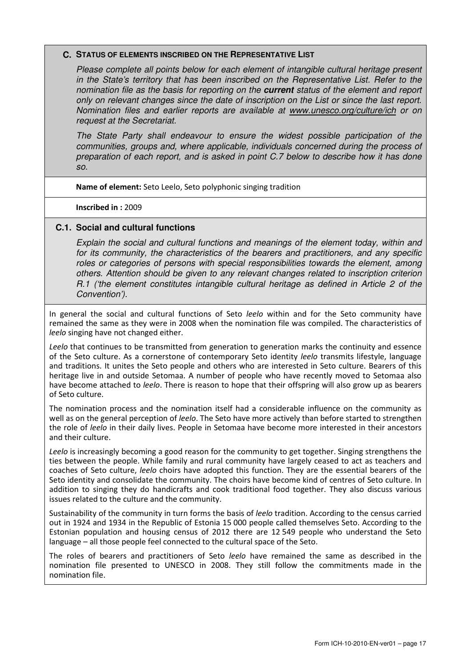#### **C. STATUS OF ELEMENTS INSCRIBED ON THE REPRESENTATIVE LIST**

Please complete all points below for each element of intangible cultural heritage present in the State's territory that has been inscribed on the Representative List. Refer to the nomination file as the basis for reporting on the **current** status of the element and report only on relevant changes since the date of inscription on the List or since the last report. Nomination files and earlier reports are available at www.unesco.org/culture/ich or on request at the Secretariat.

The State Party shall endeavour to ensure the widest possible participation of the communities, groups and, where applicable, individuals concerned during the process of preparation of each report, and is asked in point C.7 below to describe how it has done so.

Name of element: Seto Leelo, Seto polyphonic singing tradition

Inscribed in : 2009

#### **C.1. Social and cultural functions**

Explain the social and cultural functions and meanings of the element today, within and for its community, the characteristics of the bearers and practitioners, and any specific roles or categories of persons with special responsibilities towards the element, among others. Attention should be given to any relevant changes related to inscription criterion R.1 ('the element constitutes intangible cultural heritage as defined in Article 2 of the Convention').

In general the social and cultural functions of Seto leelo within and for the Seto community have remained the same as they were in 2008 when the nomination file was compiled. The characteristics of leelo singing have not changed either.

Leelo that continues to be transmitted from generation to generation marks the continuity and essence of the Seto culture. As a cornerstone of contemporary Seto identity leelo transmits lifestyle, language and traditions. It unites the Seto people and others who are interested in Seto culture. Bearers of this heritage live in and outside Setomaa. A number of people who have recently moved to Setomaa also have become attached to *leelo*. There is reason to hope that their offspring will also grow up as bearers of Seto culture.

The nomination process and the nomination itself had a considerable influence on the community as well as on the general perception of leelo. The Seto have more actively than before started to strengthen the role of leelo in their daily lives. People in Setomaa have become more interested in their ancestors and their culture.

Leelo is increasingly becoming a good reason for the community to get together. Singing strengthens the ties between the people. While family and rural community have largely ceased to act as teachers and coaches of Seto culture, leelo choirs have adopted this function. They are the essential bearers of the Seto identity and consolidate the community. The choirs have become kind of centres of Seto culture. In addition to singing they do handicrafts and cook traditional food together. They also discuss various issues related to the culture and the community.

Sustainability of the community in turn forms the basis of leelo tradition. According to the census carried out in 1924 and 1934 in the Republic of Estonia 15 000 people called themselves Seto. According to the Estonian population and housing census of 2012 there are 12 549 people who understand the Seto language – all those people feel connected to the cultural space of the Seto.

The roles of bearers and practitioners of Seto leelo have remained the same as described in the nomination file presented to UNESCO in 2008. They still follow the commitments made in the nomination file.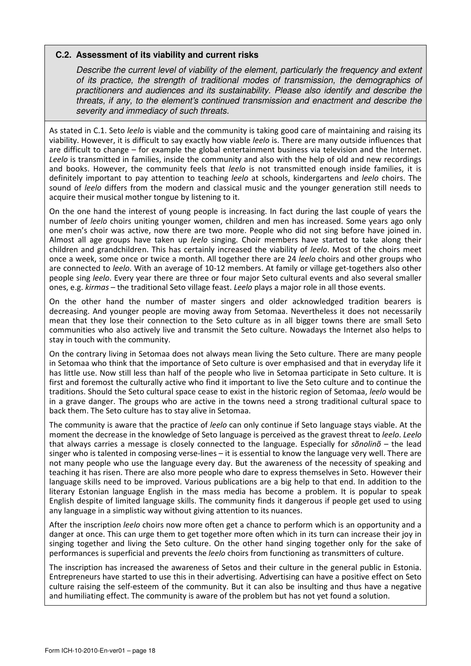#### **C.2. Assessment of its viability and current risks**

Describe the current level of viability of the element, particularly the frequency and extent of its practice, the strength of traditional modes of transmission, the demographics of practitioners and audiences and its sustainability. Please also identify and describe the threats, if any, to the element's continued transmission and enactment and describe the severity and immediacy of such threats.

As stated in C.1. Seto *leelo* is viable and the community is taking good care of maintaining and raising its viability. However, it is difficult to say exactly how viable leelo is. There are many outside influences that are difficult to change – for example the global entertainment business via television and the Internet. Leelo is transmitted in families, inside the community and also with the help of old and new recordings and books. However, the community feels that leelo is not transmitted enough inside families, it is definitely important to pay attention to teaching *leelo* at schools, kindergartens and *leelo* choirs. The sound of *leelo* differs from the modern and classical music and the younger generation still needs to acquire their musical mother tongue by listening to it.

On the one hand the interest of young people is increasing. In fact during the last couple of years the number of leelo choirs uniting younger women, children and men has increased. Some years ago only one men's choir was active, now there are two more. People who did not sing before have joined in. Almost all age groups have taken up *leelo* singing. Choir members have started to take along their children and grandchildren. This has certainly increased the viability of leelo. Most of the choirs meet once a week, some once or twice a month. All together there are 24 leelo choirs and other groups who are connected to leelo. With an average of 10-12 members. At family or village get-togethers also other people sing leelo. Every year there are three or four major Seto cultural events and also several smaller ones, e.g. kirmas – the traditional Seto village feast. Leelo plays a major role in all those events.

On the other hand the number of master singers and older acknowledged tradition bearers is decreasing. And younger people are moving away from Setomaa. Nevertheless it does not necessarily mean that they lose their connection to the Seto culture as in all bigger towns there are small Seto communities who also actively live and transmit the Seto culture. Nowadays the Internet also helps to stay in touch with the community.

On the contrary living in Setomaa does not always mean living the Seto culture. There are many people in Setomaa who think that the importance of Seto culture is over emphasised and that in everyday life it has little use. Now still less than half of the people who live in Setomaa participate in Seto culture. It is first and foremost the culturally active who find it important to live the Seto culture and to continue the traditions. Should the Seto cultural space cease to exist in the historic region of Setomaa, leelo would be in a grave danger. The groups who are active in the towns need a strong traditional cultural space to back them. The Seto culture has to stay alive in Setomaa.

The community is aware that the practice of leelo can only continue if Seto language stays viable. At the moment the decrease in the knowledge of Seto language is perceived as the gravest threat to *leelo*. Leelo that always carries a message is closely connected to the language. Especially for  $s\tilde{o}nolin\tilde{o}$  – the lead singer who is talented in composing verse-lines – it is essential to know the language very well. There are not many people who use the language every day. But the awareness of the necessity of speaking and teaching it has risen. There are also more people who dare to express themselves in Seto. However their language skills need to be improved. Various publications are a big help to that end. In addition to the literary Estonian language English in the mass media has become a problem. It is popular to speak English despite of limited language skills. The community finds it dangerous if people get used to using any language in a simplistic way without giving attention to its nuances.

After the inscription *leelo* choirs now more often get a chance to perform which is an opportunity and a danger at once. This can urge them to get together more often which in its turn can increase their joy in singing together and living the Seto culture. On the other hand singing together only for the sake of performances is superficial and prevents the leelo choirs from functioning as transmitters of culture.

The inscription has increased the awareness of Setos and their culture in the general public in Estonia. Entrepreneurs have started to use this in their advertising. Advertising can have a positive effect on Seto culture raising the self-esteem of the community. But it can also be insulting and thus have a negative and humiliating effect. The community is aware of the problem but has not yet found a solution.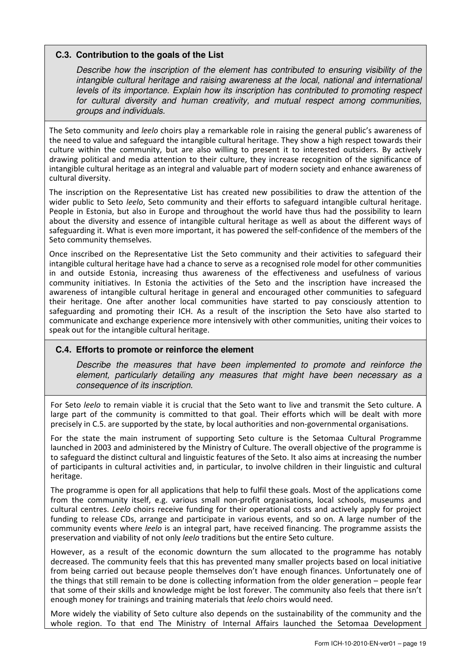## **C.3. Contribution to the goals of the List**

Describe how the inscription of the element has contributed to ensuring visibility of the intangible cultural heritage and raising awareness at the local, national and international levels of its importance. Explain how its inscription has contributed to promoting respect for cultural diversity and human creativity, and mutual respect among communities, groups and individuals.

The Seto community and *leelo* choirs play a remarkable role in raising the general public's awareness of the need to value and safeguard the intangible cultural heritage. They show a high respect towards their culture within the community, but are also willing to present it to interested outsiders. By actively drawing political and media attention to their culture, they increase recognition of the significance of intangible cultural heritage as an integral and valuable part of modern society and enhance awareness of cultural diversity.

The inscription on the Representative List has created new possibilities to draw the attention of the wider public to Seto *leelo*, Seto community and their efforts to safeguard intangible cultural heritage. People in Estonia, but also in Europe and throughout the world have thus had the possibility to learn about the diversity and essence of intangible cultural heritage as well as about the different ways of safeguarding it. What is even more important, it has powered the self-confidence of the members of the Seto community themselves.

Once inscribed on the Representative List the Seto community and their activities to safeguard their intangible cultural heritage have had a chance to serve as a recognised role model for other communities in and outside Estonia, increasing thus awareness of the effectiveness and usefulness of various community initiatives. In Estonia the activities of the Seto and the inscription have increased the awareness of intangible cultural heritage in general and encouraged other communities to safeguard their heritage. One after another local communities have started to pay consciously attention to safeguarding and promoting their ICH. As a result of the inscription the Seto have also started to communicate and exchange experience more intensively with other communities, uniting their voices to speak out for the intangible cultural heritage.

## **C.4. Efforts to promote or reinforce the element**

Describe the measures that have been implemented to promote and reinforce the element, particularly detailing any measures that might have been necessary as a consequence of its inscription.

For Seto leelo to remain viable it is crucial that the Seto want to live and transmit the Seto culture. A large part of the community is committed to that goal. Their efforts which will be dealt with more precisely in C.5. are supported by the state, by local authorities and non-governmental organisations.

For the state the main instrument of supporting Seto culture is the Setomaa Cultural Programme launched in 2003 and administered by the Ministry of Culture. The overall objective of the programme is to safeguard the distinct cultural and linguistic features of the Seto. It also aims at increasing the number of participants in cultural activities and, in particular, to involve children in their linguistic and cultural heritage.

The programme is open for all applications that help to fulfil these goals. Most of the applications come from the community itself, e.g. various small non-profit organisations, local schools, museums and cultural centres. Leelo choirs receive funding for their operational costs and actively apply for project funding to release CDs, arrange and participate in various events, and so on. A large number of the community events where leelo is an integral part, have received financing. The programme assists the preservation and viability of not only leelo traditions but the entire Seto culture.

However, as a result of the economic downturn the sum allocated to the programme has notably decreased. The community feels that this has prevented many smaller projects based on local initiative from being carried out because people themselves don't have enough finances. Unfortunately one of the things that still remain to be done is collecting information from the older generation – people fear that some of their skills and knowledge might be lost forever. The community also feels that there isn't enough money for trainings and training materials that leelo choirs would need.

More widely the viability of Seto culture also depends on the sustainability of the community and the whole region. To that end The Ministry of Internal Affairs launched the Setomaa Development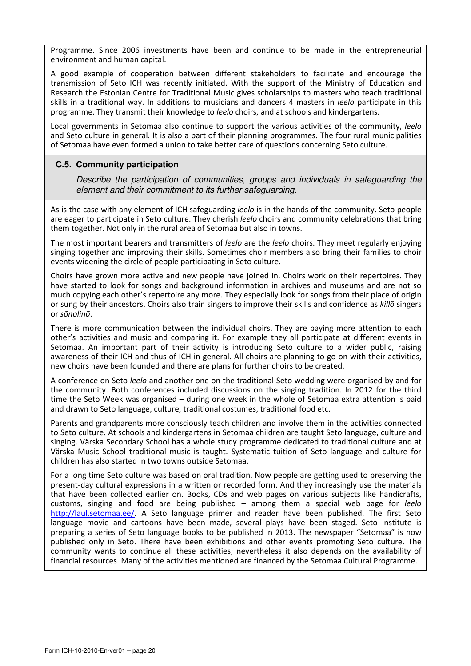Programme. Since 2006 investments have been and continue to be made in the entrepreneurial environment and human capital.

A good example of cooperation between different stakeholders to facilitate and encourage the transmission of Seto ICH was recently initiated. With the support of the Ministry of Education and Research the Estonian Centre for Traditional Music gives scholarships to masters who teach traditional skills in a traditional way. In additions to musicians and dancers 4 masters in *leelo* participate in this programme. They transmit their knowledge to *leelo* choirs, and at schools and kindergartens.

Local governments in Setomaa also continue to support the various activities of the community, leelo and Seto culture in general. It is also a part of their planning programmes. The four rural municipalities of Setomaa have even formed a union to take better care of questions concerning Seto culture.

## **C.5. Community participation**

Describe the participation of communities, groups and individuals in safeguarding the element and their commitment to its further safeguarding.

As is the case with any element of ICH safeguarding leelo is in the hands of the community. Seto people are eager to participate in Seto culture. They cherish leelo choirs and community celebrations that bring them together. Not only in the rural area of Setomaa but also in towns.

The most important bearers and transmitters of leelo are the leelo choirs. They meet regularly enjoying singing together and improving their skills. Sometimes choir members also bring their families to choir events widening the circle of people participating in Seto culture.

Choirs have grown more active and new people have joined in. Choirs work on their repertoires. They have started to look for songs and background information in archives and museums and are not so much copying each other's repertoire any more. They especially look for songs from their place of origin or sung by their ancestors. Choirs also train singers to improve their skills and confidence as killõ singers or sõnolinõ.

There is more communication between the individual choirs. They are paying more attention to each other's activities and music and comparing it. For example they all participate at different events in Setomaa. An important part of their activity is introducing Seto culture to a wider public, raising awareness of their ICH and thus of ICH in general. All choirs are planning to go on with their activities, new choirs have been founded and there are plans for further choirs to be created.

A conference on Seto leelo and another one on the traditional Seto wedding were organised by and for the community. Both conferences included discussions on the singing tradition. In 2012 for the third time the Seto Week was organised – during one week in the whole of Setomaa extra attention is paid and drawn to Seto language, culture, traditional costumes, traditional food etc.

Parents and grandparents more consciously teach children and involve them in the activities connected to Seto culture. At schools and kindergartens in Setomaa children are taught Seto language, culture and singing. Värska Secondary School has a whole study programme dedicated to traditional culture and at Värska Music School traditional music is taught. Systematic tuition of Seto language and culture for children has also started in two towns outside Setomaa.

For a long time Seto culture was based on oral tradition. Now people are getting used to preserving the present-day cultural expressions in a written or recorded form. And they increasingly use the materials that have been collected earlier on. Books, CDs and web pages on various subjects like handicrafts, customs, singing and food are being published  $-$  among them a special web page for *leelo* http://laul.setomaa.ee/. A Seto language primer and reader have been published. The first Seto language movie and cartoons have been made, several plays have been staged. Seto Institute is preparing a series of Seto language books to be published in 2013. The newspaper "Setomaa" is now published only in Seto. There have been exhibitions and other events promoting Seto culture. The community wants to continue all these activities; nevertheless it also depends on the availability of financial resources. Many of the activities mentioned are financed by the Setomaa Cultural Programme.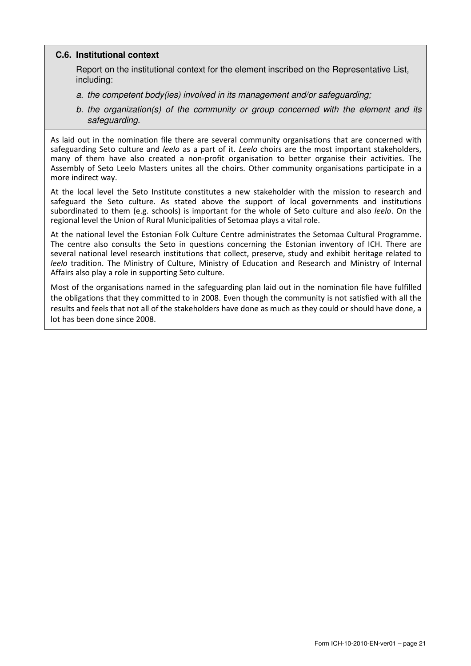## **C.6. Institutional context**

Report on the institutional context for the element inscribed on the Representative List, including:

- a. the competent body(ies) involved in its management and/or safeguarding;
- b. the organization(s) of the community or group concerned with the element and its safeguarding.

As laid out in the nomination file there are several community organisations that are concerned with safeguarding Seto culture and *leelo* as a part of it. Leelo choirs are the most important stakeholders, many of them have also created a non-profit organisation to better organise their activities. The Assembly of Seto Leelo Masters unites all the choirs. Other community organisations participate in a more indirect way.

At the local level the Seto Institute constitutes a new stakeholder with the mission to research and safeguard the Seto culture. As stated above the support of local governments and institutions subordinated to them (e.g. schools) is important for the whole of Seto culture and also *leelo*. On the regional level the Union of Rural Municipalities of Setomaa plays a vital role.

At the national level the Estonian Folk Culture Centre administrates the Setomaa Cultural Programme. The centre also consults the Seto in questions concerning the Estonian inventory of ICH. There are several national level research institutions that collect, preserve, study and exhibit heritage related to leelo tradition. The Ministry of Culture, Ministry of Education and Research and Ministry of Internal Affairs also play a role in supporting Seto culture.

Most of the organisations named in the safeguarding plan laid out in the nomination file have fulfilled the obligations that they committed to in 2008. Even though the community is not satisfied with all the results and feels that not all of the stakeholders have done as much as they could or should have done, a lot has been done since 2008.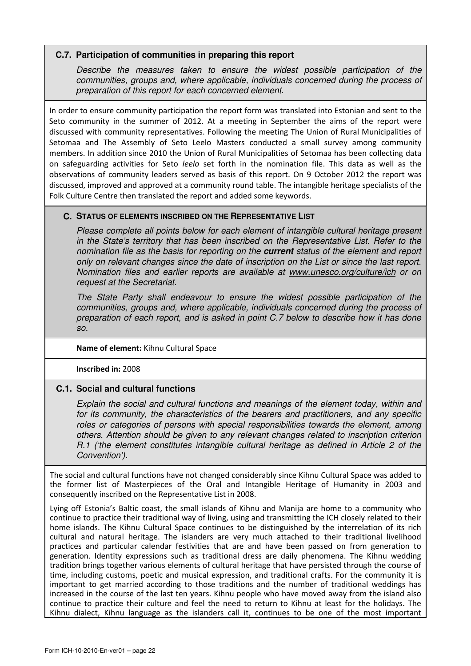## **C.7. Participation of communities in preparing this report**

Describe the measures taken to ensure the widest possible participation of the communities, groups and, where applicable, individuals concerned during the process of preparation of this report for each concerned element.

In order to ensure community participation the report form was translated into Estonian and sent to the Seto community in the summer of 2012. At a meeting in September the aims of the report were discussed with community representatives. Following the meeting The Union of Rural Municipalities of Setomaa and The Assembly of Seto Leelo Masters conducted a small survey among community members. In addition since 2010 the Union of Rural Municipalities of Setomaa has been collecting data on safeguarding activities for Seto leelo set forth in the nomination file. This data as well as the observations of community leaders served as basis of this report. On 9 October 2012 the report was discussed, improved and approved at a community round table. The intangible heritage specialists of the Folk Culture Centre then translated the report and added some keywords.

## **C. STATUS OF ELEMENTS INSCRIBED ON THE REPRESENTATIVE LIST**

Please complete all points below for each element of intangible cultural heritage present in the State's territory that has been inscribed on the Representative List. Refer to the nomination file as the basis for reporting on the **current** status of the element and report only on relevant changes since the date of inscription on the List or since the last report. Nomination files and earlier reports are available at www.unesco.org/culture/ich or on request at the Secretariat.

The State Party shall endeavour to ensure the widest possible participation of the communities, groups and, where applicable, individuals concerned during the process of preparation of each report, and is asked in point C.7 below to describe how it has done so.

## Name of element: Kihnu Cultural Space

Inscribed in: 2008

## **C.1. Social and cultural functions**

Explain the social and cultural functions and meanings of the element today, within and for its community, the characteristics of the bearers and practitioners, and any specific roles or categories of persons with special responsibilities towards the element, among others. Attention should be given to any relevant changes related to inscription criterion R.1 ('the element constitutes intangible cultural heritage as defined in Article 2 of the Convention').

The social and cultural functions have not changed considerably since Kihnu Cultural Space was added to the former list of Masterpieces of the Oral and Intangible Heritage of Humanity in 2003 and consequently inscribed on the Representative List in 2008.

Lying off Estonia's Baltic coast, the small islands of Kihnu and Manija are home to a community who continue to practice their traditional way of living, using and transmitting the ICH closely related to their home islands. The Kihnu Cultural Space continues to be distinguished by the interrelation of its rich cultural and natural heritage. The islanders are very much attached to their traditional livelihood practices and particular calendar festivities that are and have been passed on from generation to generation. Identity expressions such as traditional dress are daily phenomena. The Kihnu wedding tradition brings together various elements of cultural heritage that have persisted through the course of time, including customs, poetic and musical expression, and traditional crafts. For the community it is important to get married according to those traditions and the number of traditional weddings has increased in the course of the last ten years. Kihnu people who have moved away from the island also continue to practice their culture and feel the need to return to Kihnu at least for the holidays. The Kihnu dialect, Kihnu language as the islanders call it, continues to be one of the most important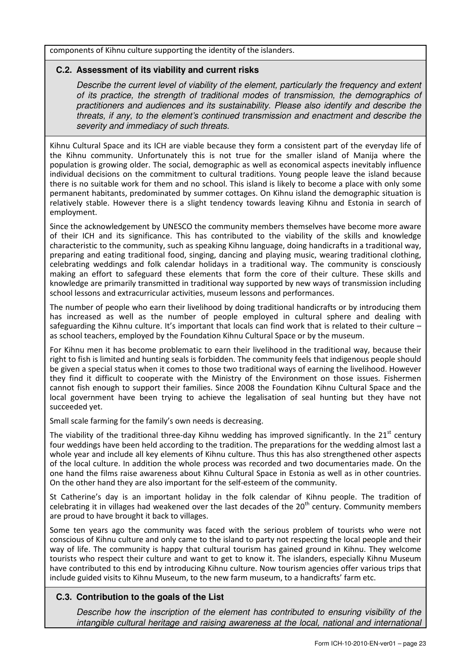components of Kihnu culture supporting the identity of the islanders.

## **C.2. Assessment of its viability and current risks**

Describe the current level of viability of the element, particularly the frequency and extent of its practice, the strength of traditional modes of transmission, the demographics of practitioners and audiences and its sustainability. Please also identify and describe the threats, if any, to the element's continued transmission and enactment and describe the severity and immediacy of such threats.

Kihnu Cultural Space and its ICH are viable because they form a consistent part of the everyday life of the Kihnu community. Unfortunately this is not true for the smaller island of Manija where the population is growing older. The social, demographic as well as economical aspects inevitably influence individual decisions on the commitment to cultural traditions. Young people leave the island because there is no suitable work for them and no school. This island is likely to become a place with only some permanent habitants, predominated by summer cottages. On Kihnu island the demographic situation is relatively stable. However there is a slight tendency towards leaving Kihnu and Estonia in search of employment.

Since the acknowledgement by UNESCO the community members themselves have become more aware of their ICH and its significance. This has contributed to the viability of the skills and knowledge characteristic to the community, such as speaking Kihnu language, doing handicrafts in a traditional way, preparing and eating traditional food, singing, dancing and playing music, wearing traditional clothing, celebrating weddings and folk calendar holidays in a traditional way. The community is consciously making an effort to safeguard these elements that form the core of their culture. These skills and knowledge are primarily transmitted in traditional way supported by new ways of transmission including school lessons and extracurricular activities, museum lessons and performances.

The number of people who earn their livelihood by doing traditional handicrafts or by introducing them has increased as well as the number of people employed in cultural sphere and dealing with safeguarding the Kihnu culture. It's important that locals can find work that is related to their culture – as school teachers, employed by the Foundation Kihnu Cultural Space or by the museum.

For Kihnu men it has become problematic to earn their livelihood in the traditional way, because their right to fish is limited and hunting seals is forbidden. The community feels that indigenous people should be given a special status when it comes to those two traditional ways of earning the livelihood. However they find it difficult to cooperate with the Ministry of the Environment on those issues. Fishermen cannot fish enough to support their families. Since 2008 the Foundation Kihnu Cultural Space and the local government have been trying to achieve the legalisation of seal hunting but they have not succeeded yet.

Small scale farming for the family's own needs is decreasing.

The viability of the traditional three-day Kihnu wedding has improved significantly. In the  $21<sup>st</sup>$  century four weddings have been held according to the tradition. The preparations for the wedding almost last a whole year and include all key elements of Kihnu culture. Thus this has also strengthened other aspects of the local culture. In addition the whole process was recorded and two documentaries made. On the one hand the films raise awareness about Kihnu Cultural Space in Estonia as well as in other countries. On the other hand they are also important for the self-esteem of the community.

St Catherine's day is an important holiday in the folk calendar of Kihnu people. The tradition of celebrating it in villages had weakened over the last decades of the  $20<sup>th</sup>$  century. Community members are proud to have brought it back to villages.

Some ten years ago the community was faced with the serious problem of tourists who were not conscious of Kihnu culture and only came to the island to party not respecting the local people and their way of life. The community is happy that cultural tourism has gained ground in Kihnu. They welcome tourists who respect their culture and want to get to know it. The islanders, especially Kihnu Museum have contributed to this end by introducing Kihnu culture. Now tourism agencies offer various trips that include guided visits to Kihnu Museum, to the new farm museum, to a handicrafts' farm etc.

## **C.3. Contribution to the goals of the List**

Describe how the inscription of the element has contributed to ensuring visibility of the intangible cultural heritage and raising awareness at the local, national and international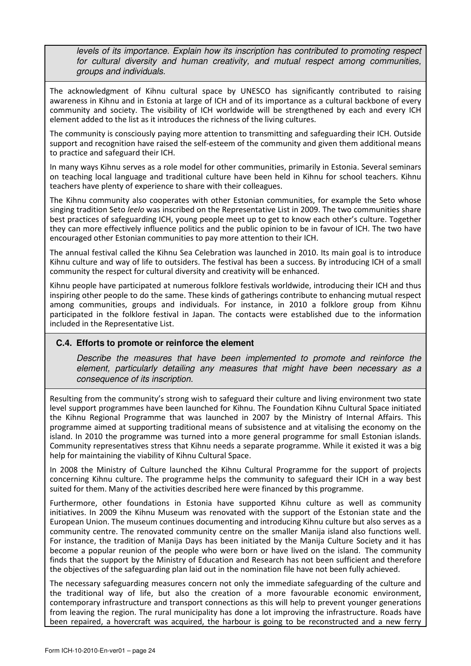levels of its importance. Explain how its inscription has contributed to promoting respect for cultural diversity and human creativity, and mutual respect among communities, groups and individuals.

The acknowledgment of Kihnu cultural space by UNESCO has significantly contributed to raising awareness in Kihnu and in Estonia at large of ICH and of its importance as a cultural backbone of every community and society. The visibility of ICH worldwide will be strengthened by each and every ICH element added to the list as it introduces the richness of the living cultures.

The community is consciously paying more attention to transmitting and safeguarding their ICH. Outside support and recognition have raised the self-esteem of the community and given them additional means to practice and safeguard their ICH.

In many ways Kihnu serves as a role model for other communities, primarily in Estonia. Several seminars on teaching local language and traditional culture have been held in Kihnu for school teachers. Kihnu teachers have plenty of experience to share with their colleagues.

The Kihnu community also cooperates with other Estonian communities, for example the Seto whose singing tradition Seto leelo was inscribed on the Representative List in 2009. The two communities share best practices of safeguarding ICH, young people meet up to get to know each other's culture. Together they can more effectively influence politics and the public opinion to be in favour of ICH. The two have encouraged other Estonian communities to pay more attention to their ICH.

The annual festival called the Kihnu Sea Celebration was launched in 2010. Its main goal is to introduce Kihnu culture and way of life to outsiders. The festival has been a success. By introducing ICH of a small community the respect for cultural diversity and creativity will be enhanced.

Kihnu people have participated at numerous folklore festivals worldwide, introducing their ICH and thus inspiring other people to do the same. These kinds of gatherings contribute to enhancing mutual respect among communities, groups and individuals. For instance, in 2010 a folklore group from Kihnu participated in the folklore festival in Japan. The contacts were established due to the information included in the Representative List.

## **C.4. Efforts to promote or reinforce the element**

Describe the measures that have been implemented to promote and reinforce the element, particularly detailing any measures that might have been necessary as a consequence of its inscription.

Resulting from the community's strong wish to safeguard their culture and living environment two state level support programmes have been launched for Kihnu. The Foundation Kihnu Cultural Space initiated the Kihnu Regional Programme that was launched in 2007 by the Ministry of Internal Affairs. This programme aimed at supporting traditional means of subsistence and at vitalising the economy on the island. In 2010 the programme was turned into a more general programme for small Estonian islands. Community representatives stress that Kihnu needs a separate programme. While it existed it was a big help for maintaining the viability of Kihnu Cultural Space.

In 2008 the Ministry of Culture launched the Kihnu Cultural Programme for the support of projects concerning Kihnu culture. The programme helps the community to safeguard their ICH in a way best suited for them. Many of the activities described here were financed by this programme.

Furthermore, other foundations in Estonia have supported Kihnu culture as well as community initiatives. In 2009 the Kihnu Museum was renovated with the support of the Estonian state and the European Union. The museum continues documenting and introducing Kihnu culture but also serves as a community centre. The renovated community centre on the smaller Manija island also functions well. For instance, the tradition of Manija Days has been initiated by the Manija Culture Society and it has become a popular reunion of the people who were born or have lived on the island. The community finds that the support by the Ministry of Education and Research has not been sufficient and therefore the objectives of the safeguarding plan laid out in the nomination file have not been fully achieved.

The necessary safeguarding measures concern not only the immediate safeguarding of the culture and the traditional way of life, but also the creation of a more favourable economic environment, contemporary infrastructure and transport connections as this will help to prevent younger generations from leaving the region. The rural municipality has done a lot improving the infrastructure. Roads have been repaired, a hovercraft was acquired, the harbour is going to be reconstructed and a new ferry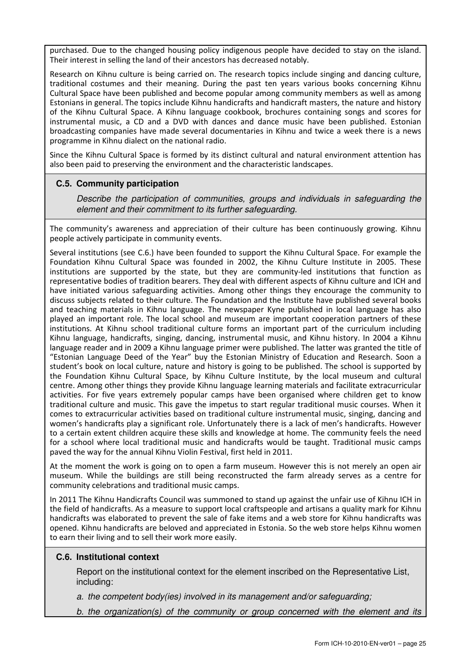purchased. Due to the changed housing policy indigenous people have decided to stay on the island. Their interest in selling the land of their ancestors has decreased notably.

Research on Kihnu culture is being carried on. The research topics include singing and dancing culture, traditional costumes and their meaning. During the past ten years various books concerning Kihnu Cultural Space have been published and become popular among community members as well as among Estonians in general. The topics include Kihnu handicrafts and handicraft masters, the nature and history of the Kihnu Cultural Space. A Kihnu language cookbook, brochures containing songs and scores for instrumental music, a CD and a DVD with dances and dance music have been published. Estonian broadcasting companies have made several documentaries in Kihnu and twice a week there is a news programme in Kihnu dialect on the national radio.

Since the Kihnu Cultural Space is formed by its distinct cultural and natural environment attention has also been paid to preserving the environment and the characteristic landscapes.

#### **C.5. Community participation**

Describe the participation of communities, groups and individuals in safeguarding the element and their commitment to its further safeguarding.

The community's awareness and appreciation of their culture has been continuously growing. Kihnu people actively participate in community events.

Several institutions (see C.6.) have been founded to support the Kihnu Cultural Space. For example the Foundation Kihnu Cultural Space was founded in 2002, the Kihnu Culture Institute in 2005. These institutions are supported by the state, but they are community-led institutions that function as representative bodies of tradition bearers. They deal with different aspects of Kihnu culture and ICH and have initiated various safeguarding activities. Among other things they encourage the community to discuss subjects related to their culture. The Foundation and the Institute have published several books and teaching materials in Kihnu language. The newspaper Kyne published in local language has also played an important role. The local school and museum are important cooperation partners of these institutions. At Kihnu school traditional culture forms an important part of the curriculum including Kihnu language, handicrafts, singing, dancing, instrumental music, and Kihnu history. In 2004 a Kihnu language reader and in 2009 a Kihnu language primer were published. The latter was granted the title of "Estonian Language Deed of the Year" buy the Estonian Ministry of Education and Research. Soon a student's book on local culture, nature and history is going to be published. The school is supported by the Foundation Kihnu Cultural Space, by Kihnu Culture Institute, by the local museum and cultural centre. Among other things they provide Kihnu language learning materials and facilitate extracurricular activities. For five years extremely popular camps have been organised where children get to know traditional culture and music. This gave the impetus to start regular traditional music courses. When it comes to extracurricular activities based on traditional culture instrumental music, singing, dancing and women's handicrafts play a significant role. Unfortunately there is a lack of men's handicrafts. However to a certain extent children acquire these skills and knowledge at home. The community feels the need for a school where local traditional music and handicrafts would be taught. Traditional music camps paved the way for the annual Kihnu Violin Festival, first held in 2011.

At the moment the work is going on to open a farm museum. However this is not merely an open air museum. While the buildings are still being reconstructed the farm already serves as a centre for community celebrations and traditional music camps.

In 2011 The Kihnu Handicrafts Council was summoned to stand up against the unfair use of Kihnu ICH in the field of handicrafts. As a measure to support local craftspeople and artisans a quality mark for Kihnu handicrafts was elaborated to prevent the sale of fake items and a web store for Kihnu handicrafts was opened. Kihnu handicrafts are beloved and appreciated in Estonia. So the web store helps Kihnu women to earn their living and to sell their work more easily.

#### **C.6. Institutional context**

Report on the institutional context for the element inscribed on the Representative List, including:

a. the competent body(ies) involved in its management and/or safeguarding;

b. the organization(s) of the community or group concerned with the element and its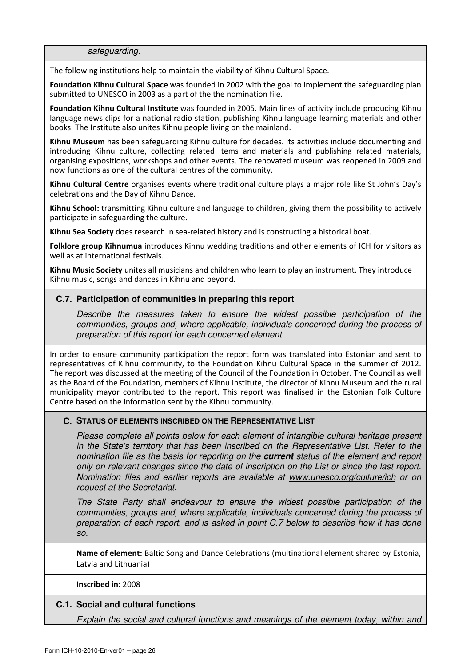safeguarding.

The following institutions help to maintain the viability of Kihnu Cultural Space.

Foundation Kihnu Cultural Space was founded in 2002 with the goal to implement the safeguarding plan submitted to UNESCO in 2003 as a part of the the nomination file.

Foundation Kihnu Cultural Institute was founded in 2005. Main lines of activity include producing Kihnu language news clips for a national radio station, publishing Kihnu language learning materials and other books. The Institute also unites Kihnu people living on the mainland.

Kihnu Museum has been safeguarding Kihnu culture for decades. Its activities include documenting and introducing Kihnu culture, collecting related items and materials and publishing related materials, organising expositions, workshops and other events. The renovated museum was reopened in 2009 and now functions as one of the cultural centres of the community.

Kihnu Cultural Centre organises events where traditional culture plays a major role like St John's Day's celebrations and the Day of Kihnu Dance.

Kihnu School: transmitting Kihnu culture and language to children, giving them the possibility to actively participate in safeguarding the culture.

Kihnu Sea Society does research in sea-related history and is constructing a historical boat.

Folklore group Kihnumua introduces Kihnu wedding traditions and other elements of ICH for visitors as well as at international festivals.

Kihnu Music Society unites all musicians and children who learn to play an instrument. They introduce Kihnu music, songs and dances in Kihnu and beyond.

#### **C.7. Participation of communities in preparing this report**

Describe the measures taken to ensure the widest possible participation of the communities, groups and, where applicable, individuals concerned during the process of preparation of this report for each concerned element.

In order to ensure community participation the report form was translated into Estonian and sent to representatives of Kihnu community, to the Foundation Kihnu Cultural Space in the summer of 2012. The report was discussed at the meeting of the Council of the Foundation in October. The Council as well as the Board of the Foundation, members of Kihnu Institute, the director of Kihnu Museum and the rural municipality mayor contributed to the report. This report was finalised in the Estonian Folk Culture Centre based on the information sent by the Kihnu community.

#### **C. STATUS OF ELEMENTS INSCRIBED ON THE REPRESENTATIVE LIST**

Please complete all points below for each element of intangible cultural heritage present in the State's territory that has been inscribed on the Representative List. Refer to the nomination file as the basis for reporting on the **current** status of the element and report only on relevant changes since the date of inscription on the List or since the last report. Nomination files and earlier reports are available at www.unesco.org/culture/ich or on request at the Secretariat.

The State Party shall endeavour to ensure the widest possible participation of the communities, groups and, where applicable, individuals concerned during the process of preparation of each report, and is asked in point C.7 below to describe how it has done so.

Name of element: Baltic Song and Dance Celebrations (multinational element shared by Estonia, Latvia and Lithuania)

#### Inscribed in: 2008

## **C.1. Social and cultural functions**

Explain the social and cultural functions and meanings of the element today, within and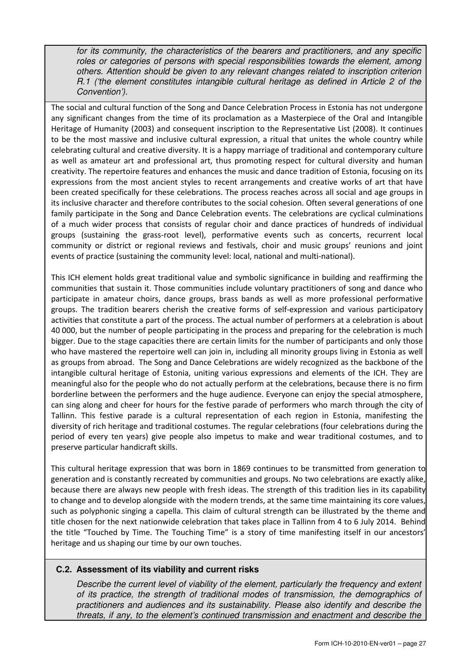for its community, the characteristics of the bearers and practitioners, and any specific roles or categories of persons with special responsibilities towards the element, among others. Attention should be given to any relevant changes related to inscription criterion R.1 ('the element constitutes intangible cultural heritage as defined in Article 2 of the Convention').

The social and cultural function of the Song and Dance Celebration Process in Estonia has not undergone any significant changes from the time of its proclamation as a Masterpiece of the Oral and Intangible Heritage of Humanity (2003) and consequent inscription to the Representative List (2008). It continues to be the most massive and inclusive cultural expression, a ritual that unites the whole country while celebrating cultural and creative diversity. It is a happy marriage of traditional and contemporary culture as well as amateur art and professional art, thus promoting respect for cultural diversity and human creativity. The repertoire features and enhances the music and dance tradition of Estonia, focusing on its expressions from the most ancient styles to recent arrangements and creative works of art that have been created specifically for these celebrations. The process reaches across all social and age groups in its inclusive character and therefore contributes to the social cohesion. Often several generations of one family participate in the Song and Dance Celebration events. The celebrations are cyclical culminations of a much wider process that consists of regular choir and dance practices of hundreds of individual groups (sustaining the grass-root level), performative events such as concerts, recurrent local community or district or regional reviews and festivals, choir and music groups' reunions and joint events of practice (sustaining the community level: local, national and multi-national).

This ICH element holds great traditional value and symbolic significance in building and reaffirming the communities that sustain it. Those communities include voluntary practitioners of song and dance who participate in amateur choirs, dance groups, brass bands as well as more professional performative groups. The tradition bearers cherish the creative forms of self-expression and various participatory activities that constitute a part of the process. The actual number of performers at a celebration is about 40 000, but the number of people participating in the process and preparing for the celebration is much bigger. Due to the stage capacities there are certain limits for the number of participants and only those who have mastered the repertoire well can join in, including all minority groups living in Estonia as well as groups from abroad. The Song and Dance Celebrations are widely recognized as the backbone of the intangible cultural heritage of Estonia, uniting various expressions and elements of the ICH. They are meaningful also for the people who do not actually perform at the celebrations, because there is no firm borderline between the performers and the huge audience. Everyone can enjoy the special atmosphere, can sing along and cheer for hours for the festive parade of performers who march through the city of Tallinn. This festive parade is a cultural representation of each region in Estonia, manifesting the diversity of rich heritage and traditional costumes. The regular celebrations (four celebrations during the period of every ten years) give people also impetus to make and wear traditional costumes, and to preserve particular handicraft skills.

This cultural heritage expression that was born in 1869 continues to be transmitted from generation to generation and is constantly recreated by communities and groups. No two celebrations are exactly alike, because there are always new people with fresh ideas. The strength of this tradition lies in its capability to change and to develop alongside with the modern trends, at the same time maintaining its core values, such as polyphonic singing a capella. This claim of cultural strength can be illustrated by the theme and title chosen for the next nationwide celebration that takes place in Tallinn from 4 to 6 July 2014. Behind the title "Touched by Time. The Touching Time" is a story of time manifesting itself in our ancestors' heritage and us shaping our time by our own touches.

## **C.2. Assessment of its viability and current risks**

Describe the current level of viability of the element, particularly the frequency and extent of its practice, the strength of traditional modes of transmission, the demographics of practitioners and audiences and its sustainability. Please also identify and describe the threats, if any, to the element's continued transmission and enactment and describe the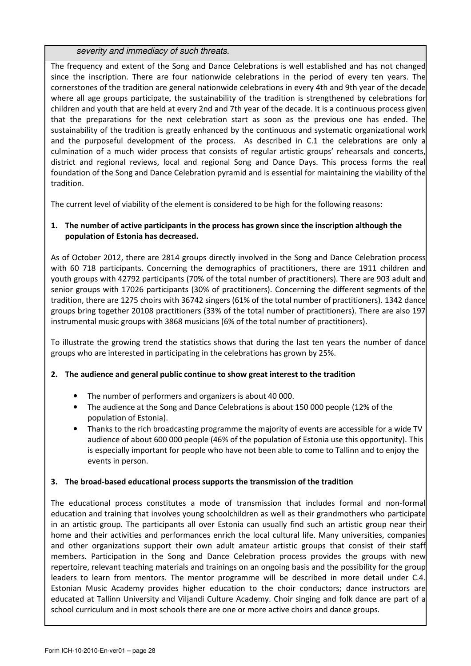severity and immediacy of such threats.

The frequency and extent of the Song and Dance Celebrations is well established and has not changed since the inscription. There are four nationwide celebrations in the period of every ten years. The cornerstones of the tradition are general nationwide celebrations in every 4th and 9th year of the decade where all age groups participate, the sustainability of the tradition is strengthened by celebrations for children and youth that are held at every 2nd and 7th year of the decade. It is a continuous process given that the preparations for the next celebration start as soon as the previous one has ended. The sustainability of the tradition is greatly enhanced by the continuous and systematic organizational work and the purposeful development of the process. As described in C.1 the celebrations are only a culmination of a much wider process that consists of regular artistic groups' rehearsals and concerts, district and regional reviews, local and regional Song and Dance Days. This process forms the real foundation of the Song and Dance Celebration pyramid and is essential for maintaining the viability of the tradition.

The current level of viability of the element is considered to be high for the following reasons:

## 1. The number of active participants in the process has grown since the inscription although the population of Estonia has decreased.

As of October 2012, there are 2814 groups directly involved in the Song and Dance Celebration process with 60 718 participants. Concerning the demographics of practitioners, there are 1911 children and youth groups with 42792 participants (70% of the total number of practitioners). There are 903 adult and senior groups with 17026 participants (30% of practitioners). Concerning the different segments of the tradition, there are 1275 choirs with 36742 singers (61% of the total number of practitioners). 1342 dance groups bring together 20108 practitioners (33% of the total number of practitioners). There are also 197 instrumental music groups with 3868 musicians (6% of the total number of practitioners).

To illustrate the growing trend the statistics shows that during the last ten years the number of dance groups who are interested in participating in the celebrations has grown by 25%.

## 2. The audience and general public continue to show great interest to the tradition

- The number of performers and organizers is about 40 000.
- The audience at the Song and Dance Celebrations is about 150 000 people (12% of the population of Estonia).
- Thanks to the rich broadcasting programme the majority of events are accessible for a wide TV audience of about 600 000 people (46% of the population of Estonia use this opportunity). This is especially important for people who have not been able to come to Tallinn and to enjoy the events in person.

## 3. The broad-based educational process supports the transmission of the tradition

The educational process constitutes a mode of transmission that includes formal and non-formal education and training that involves young schoolchildren as well as their grandmothers who participate in an artistic group. The participants all over Estonia can usually find such an artistic group near their home and their activities and performances enrich the local cultural life. Many universities, companies and other organizations support their own adult amateur artistic groups that consist of their staff members. Participation in the Song and Dance Celebration process provides the groups with new repertoire, relevant teaching materials and trainings on an ongoing basis and the possibility for the group leaders to learn from mentors. The mentor programme will be described in more detail under C.4. Estonian Music Academy provides higher education to the choir conductors; dance instructors are educated at Tallinn University and Viljandi Culture Academy. Choir singing and folk dance are part of a school curriculum and in most schools there are one or more active choirs and dance groups.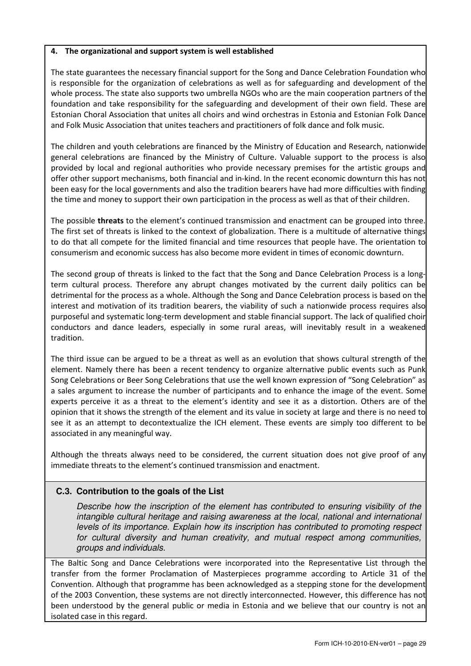#### 4. The organizational and support system is well established

The state guarantees the necessary financial support for the Song and Dance Celebration Foundation who is responsible for the organization of celebrations as well as for safeguarding and development of the whole process. The state also supports two umbrella NGOs who are the main cooperation partners of the foundation and take responsibility for the safeguarding and development of their own field. These are Estonian Choral Association that unites all choirs and wind orchestras in Estonia and Estonian Folk Dance and Folk Music Association that unites teachers and practitioners of folk dance and folk music.

The children and youth celebrations are financed by the Ministry of Education and Research, nationwide general celebrations are financed by the Ministry of Culture. Valuable support to the process is also provided by local and regional authorities who provide necessary premises for the artistic groups and offer other support mechanisms, both financial and in-kind. In the recent economic downturn this has not been easy for the local governments and also the tradition bearers have had more difficulties with finding the time and money to support their own participation in the process as well as that of their children.

The possible threats to the element's continued transmission and enactment can be grouped into three. The first set of threats is linked to the context of globalization. There is a multitude of alternative things to do that all compete for the limited financial and time resources that people have. The orientation to consumerism and economic success has also become more evident in times of economic downturn.

The second group of threats is linked to the fact that the Song and Dance Celebration Process is a longterm cultural process. Therefore any abrupt changes motivated by the current daily politics can be detrimental for the process as a whole. Although the Song and Dance Celebration process is based on the interest and motivation of its tradition bearers, the viability of such a nationwide process requires also purposeful and systematic long-term development and stable financial support. The lack of qualified choir conductors and dance leaders, especially in some rural areas, will inevitably result in a weakened tradition.

The third issue can be argued to be a threat as well as an evolution that shows cultural strength of the element. Namely there has been a recent tendency to organize alternative public events such as Punk Song Celebrations or Beer Song Celebrations that use the well known expression of "Song Celebration" as a sales argument to increase the number of participants and to enhance the image of the event. Some experts perceive it as a threat to the element's identity and see it as a distortion. Others are of the opinion that it shows the strength of the element and its value in society at large and there is no need to see it as an attempt to decontextualize the ICH element. These events are simply too different to be associated in any meaningful way.

Although the threats always need to be considered, the current situation does not give proof of any immediate threats to the element's continued transmission and enactment.

## **C.3. Contribution to the goals of the List**

Describe how the inscription of the element has contributed to ensuring visibility of the intangible cultural heritage and raising awareness at the local, national and international levels of its importance. Explain how its inscription has contributed to promoting respect for cultural diversity and human creativity, and mutual respect among communities, groups and individuals.

The Baltic Song and Dance Celebrations were incorporated into the Representative List through the transfer from the former Proclamation of Masterpieces programme according to Article 31 of the Convention. Although that programme has been acknowledged as a stepping stone for the development of the 2003 Convention, these systems are not directly interconnected. However, this difference has not been understood by the general public or media in Estonia and we believe that our country is not an isolated case in this regard.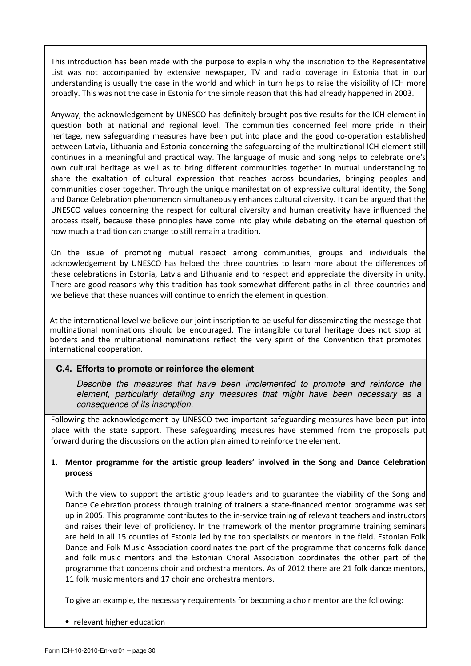This introduction has been made with the purpose to explain why the inscription to the Representative List was not accompanied by extensive newspaper, TV and radio coverage in Estonia that in our understanding is usually the case in the world and which in turn helps to raise the visibility of ICH more broadly. This was not the case in Estonia for the simple reason that this had already happened in 2003.

Anyway, the acknowledgement by UNESCO has definitely brought positive results for the ICH element in question both at national and regional level. The communities concerned feel more pride in their heritage, new safeguarding measures have been put into place and the good co-operation established between Latvia, Lithuania and Estonia concerning the safeguarding of the multinational ICH element still continues in a meaningful and practical way. The language of music and song helps to celebrate one's own cultural heritage as well as to bring different communities together in mutual understanding to share the exaltation of cultural expression that reaches across boundaries, bringing peoples and communities closer together. Through the unique manifestation of expressive cultural identity, the Song and Dance Celebration phenomenon simultaneously enhances cultural diversity. It can be argued that the UNESCO values concerning the respect for cultural diversity and human creativity have influenced the process itself, because these principles have come into play while debating on the eternal question of how much a tradition can change to still remain a tradition.

On the issue of promoting mutual respect among communities, groups and individuals the acknowledgement by UNESCO has helped the three countries to learn more about the differences of these celebrations in Estonia, Latvia and Lithuania and to respect and appreciate the diversity in unity. There are good reasons why this tradition has took somewhat different paths in all three countries and we believe that these nuances will continue to enrich the element in question.

At the international level we believe our joint inscription to be useful for disseminating the message that multinational nominations should be encouraged. The intangible cultural heritage does not stop at borders and the multinational nominations reflect the very spirit of the Convention that promotes international cooperation.

## **C.4. Efforts to promote or reinforce the element**

Describe the measures that have been implemented to promote and reinforce the element, particularly detailing any measures that might have been necessary as a consequence of its inscription.

Following the acknowledgement by UNESCO two important safeguarding measures have been put into place with the state support. These safeguarding measures have stemmed from the proposals put forward during the discussions on the action plan aimed to reinforce the element.

## 1. Mentor programme for the artistic group leaders' involved in the Song and Dance Celebration process

With the view to support the artistic group leaders and to guarantee the viability of the Song and Dance Celebration process through training of trainers a state-financed mentor programme was set up in 2005. This programme contributes to the in-service training of relevant teachers and instructors and raises their level of proficiency. In the framework of the mentor programme training seminars are held in all 15 counties of Estonia led by the top specialists or mentors in the field. Estonian Folk Dance and Folk Music Association coordinates the part of the programme that concerns folk dance and folk music mentors and the Estonian Choral Association coordinates the other part of the programme that concerns choir and orchestra mentors. As of 2012 there are 21 folk dance mentors, 11 folk music mentors and 17 choir and orchestra mentors.

To give an example, the necessary requirements for becoming a choir mentor are the following:

• relevant higher education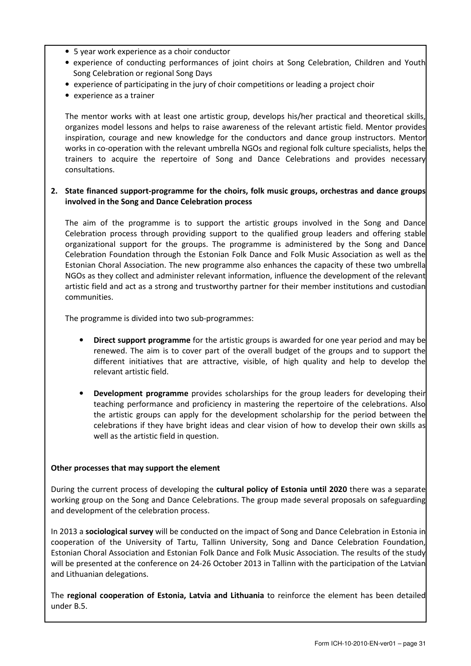- 5 year work experience as a choir conductor
- experience of conducting performances of joint choirs at Song Celebration, Children and Youth Song Celebration or regional Song Days
- experience of participating in the jury of choir competitions or leading a project choir
- experience as a trainer

The mentor works with at least one artistic group, develops his/her practical and theoretical skills, organizes model lessons and helps to raise awareness of the relevant artistic field. Mentor provides inspiration, courage and new knowledge for the conductors and dance group instructors. Mentor works in co-operation with the relevant umbrella NGOs and regional folk culture specialists, helps the trainers to acquire the repertoire of Song and Dance Celebrations and provides necessary consultations.

#### 2. State financed support-programme for the choirs, folk music groups, orchestras and dance groups involved in the Song and Dance Celebration process

The aim of the programme is to support the artistic groups involved in the Song and Dance Celebration process through providing support to the qualified group leaders and offering stable organizational support for the groups. The programme is administered by the Song and Dance Celebration Foundation through the Estonian Folk Dance and Folk Music Association as well as the Estonian Choral Association. The new programme also enhances the capacity of these two umbrella NGOs as they collect and administer relevant information, influence the development of the relevant artistic field and act as a strong and trustworthy partner for their member institutions and custodian communities.

The programme is divided into two sub-programmes:

- **Direct support programme** for the artistic groups is awarded for one year period and may be renewed. The aim is to cover part of the overall budget of the groups and to support the different initiatives that are attractive, visible, of high quality and help to develop the relevant artistic field.
- **Development programme** provides scholarships for the group leaders for developing their teaching performance and proficiency in mastering the repertoire of the celebrations. Also the artistic groups can apply for the development scholarship for the period between the celebrations if they have bright ideas and clear vision of how to develop their own skills as well as the artistic field in question.

#### Other processes that may support the element

During the current process of developing the cultural policy of Estonia until 2020 there was a separate working group on the Song and Dance Celebrations. The group made several proposals on safeguarding and development of the celebration process.

In 2013 a sociological survey will be conducted on the impact of Song and Dance Celebration in Estonia in cooperation of the University of Tartu, Tallinn University, Song and Dance Celebration Foundation, Estonian Choral Association and Estonian Folk Dance and Folk Music Association. The results of the study will be presented at the conference on 24-26 October 2013 in Tallinn with the participation of the Latvian and Lithuanian delegations.

The regional cooperation of Estonia, Latvia and Lithuania to reinforce the element has been detailed under B.5.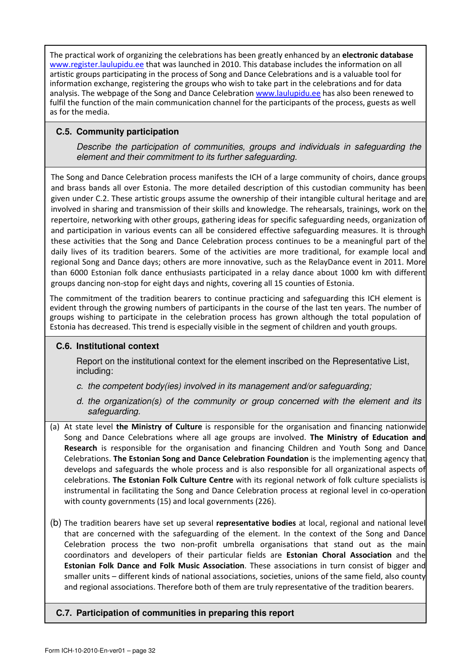The practical work of organizing the celebrations has been greatly enhanced by an electronic database www.register.laulupidu.ee that was launched in 2010. This database includes the information on all artistic groups participating in the process of Song and Dance Celebrations and is a valuable tool for information exchange, registering the groups who wish to take part in the celebrations and for data analysis. The webpage of the Song and Dance Celebration www.laulupidu.ee has also been renewed to fulfil the function of the main communication channel for the participants of the process, guests as well as for the media.

## **C.5. Community participation**

Describe the participation of communities, groups and individuals in safeguarding the element and their commitment to its further safeguarding.

The Song and Dance Celebration process manifests the ICH of a large community of choirs, dance groups and brass bands all over Estonia. The more detailed description of this custodian community has been given under C.2. These artistic groups assume the ownership of their intangible cultural heritage and are involved in sharing and transmission of their skills and knowledge. The rehearsals, trainings, work on the repertoire, networking with other groups, gathering ideas for specific safeguarding needs, organization of and participation in various events can all be considered effective safeguarding measures. It is through these activities that the Song and Dance Celebration process continues to be a meaningful part of the daily lives of its tradition bearers. Some of the activities are more traditional, for example local and regional Song and Dance days; others are more innovative, such as the RelayDance event in 2011. More than 6000 Estonian folk dance enthusiasts participated in a relay dance about 1000 km with different groups dancing non-stop for eight days and nights, covering all 15 counties of Estonia.

The commitment of the tradition bearers to continue practicing and safeguarding this ICH element is evident through the growing numbers of participants in the course of the last ten years. The number of groups wishing to participate in the celebration process has grown although the total population of Estonia has decreased. This trend is especially visible in the segment of children and youth groups.

## **C.6. Institutional context**

Report on the institutional context for the element inscribed on the Representative List, including:

- c. the competent body(ies) involved in its management and/or safeguarding;
- d. the organization(s) of the community or group concerned with the element and its safeguarding.
- (a) At state level the Ministry of Culture is responsible for the organisation and financing nationwide Song and Dance Celebrations where all age groups are involved. The Ministry of Education and Research is responsible for the organisation and financing Children and Youth Song and Dance Celebrations. The Estonian Song and Dance Celebration Foundation is the implementing agency that develops and safeguards the whole process and is also responsible for all organizational aspects of celebrations. The Estonian Folk Culture Centre with its regional network of folk culture specialists is instrumental in facilitating the Song and Dance Celebration process at regional level in co-operation with county governments (15) and local governments (226).
- (b) The tradition bearers have set up several representative bodies at local, regional and national level that are concerned with the safeguarding of the element. In the context of the Song and Dance Celebration process the two non-profit umbrella organisations that stand out as the main coordinators and developers of their particular fields are Estonian Choral Association and the Estonian Folk Dance and Folk Music Association. These associations in turn consist of bigger and smaller units – different kinds of national associations, societies, unions of the same field, also county and regional associations. Therefore both of them are truly representative of the tradition bearers.

## **C.7. Participation of communities in preparing this report**